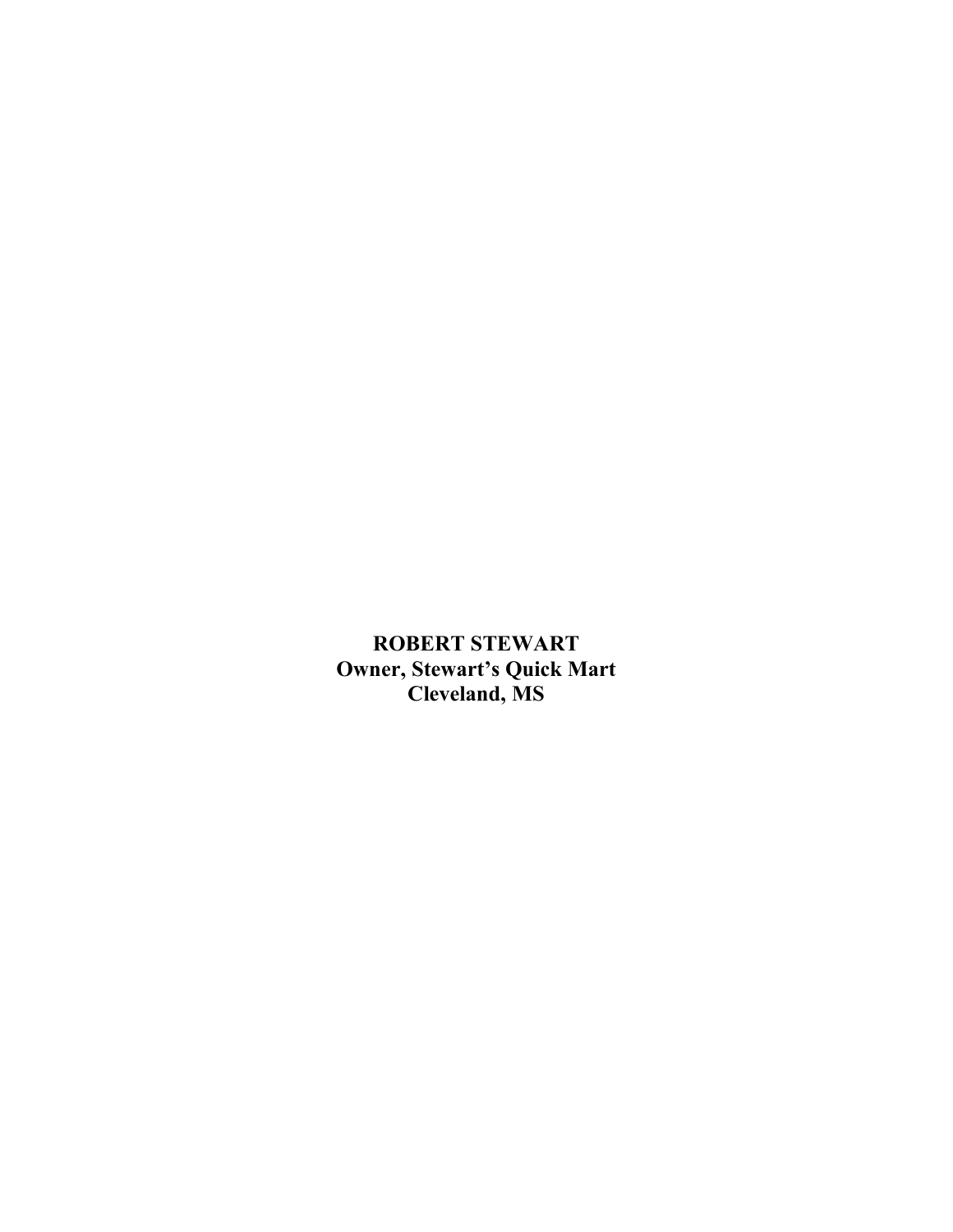**ROBERT STEWART Owner, Stewart's Quick Mart Cleveland, MS**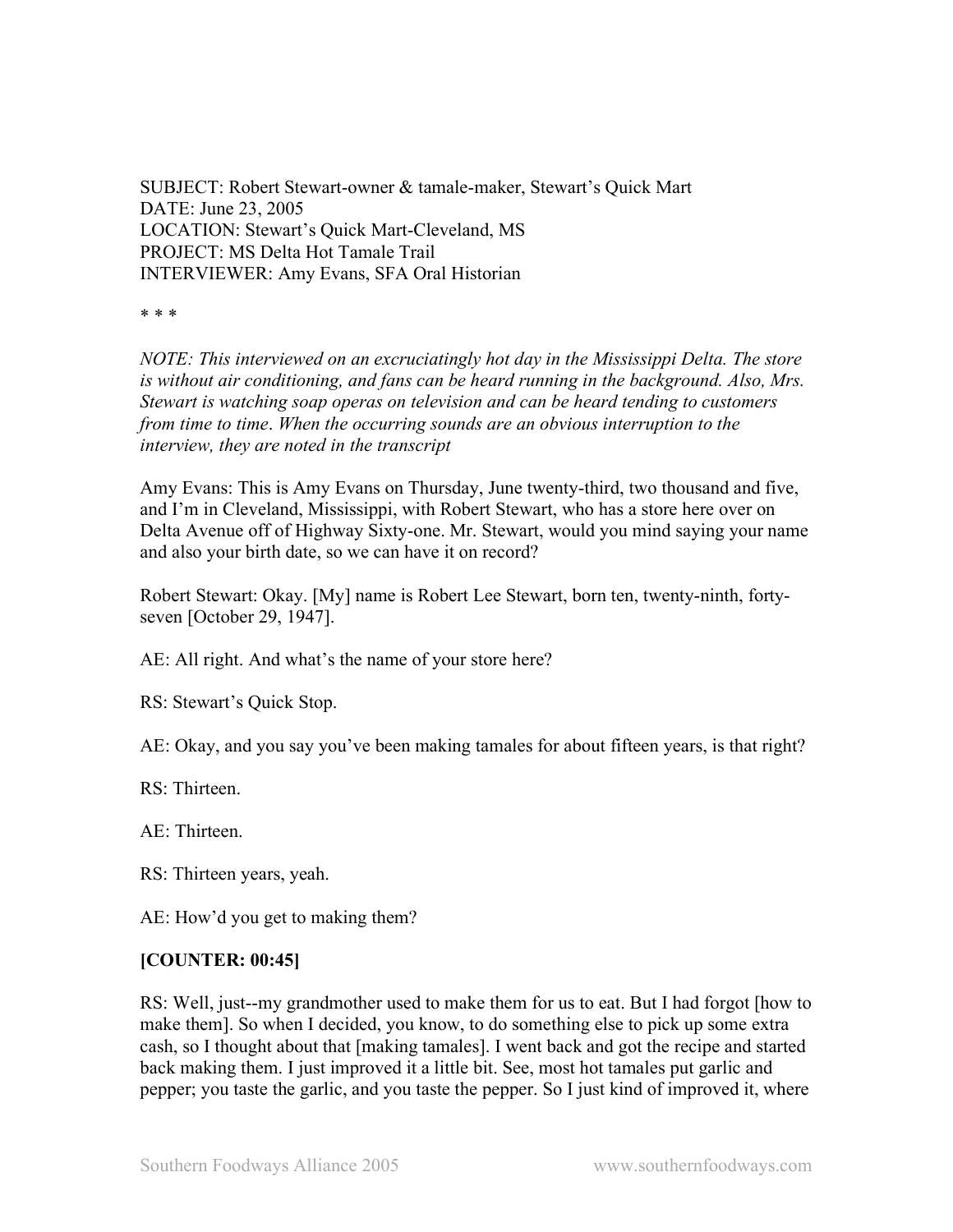SUBJECT: Robert Stewart-owner & tamale-maker, Stewart's Quick Mart DATE: June 23, 2005 LOCATION: Stewart's Quick Mart-Cleveland, MS PROJECT: MS Delta Hot Tamale Trail INTERVIEWER: Amy Evans, SFA Oral Historian

\* \* \*

*NOTE: This interviewed on an excruciatingly hot day in the Mississippi Delta. The store is without air conditioning, and fans can be heard running in the background. Also, Mrs. Stewart is watching soap operas on television and can be heard tending to customers from time to time*. *When the occurring sounds are an obvious interruption to the interview, they are noted in the transcript*

Amy Evans: This is Amy Evans on Thursday, June twenty-third, two thousand and five, and I'm in Cleveland, Mississippi, with Robert Stewart, who has a store here over on Delta Avenue off of Highway Sixty-one. Mr. Stewart, would you mind saying your name and also your birth date, so we can have it on record?

Robert Stewart: Okay. [My] name is Robert Lee Stewart, born ten, twenty-ninth, fortyseven [October 29, 1947].

AE: All right. And what's the name of your store here?

RS: Stewart's Quick Stop.

AE: Okay, and you say you've been making tamales for about fifteen years, is that right?

RS: Thirteen.

 $AE$ : Thirteen.

RS: Thirteen years, yeah.

AE: How'd you get to making them?

#### **[COUNTER: 00:45]**

RS: Well, just--my grandmother used to make them for us to eat. But I had forgot [how to make them]. So when I decided, you know, to do something else to pick up some extra cash, so I thought about that [making tamales]. I went back and got the recipe and started back making them. I just improved it a little bit. See, most hot tamales put garlic and pepper; you taste the garlic, and you taste the pepper. So I just kind of improved it, where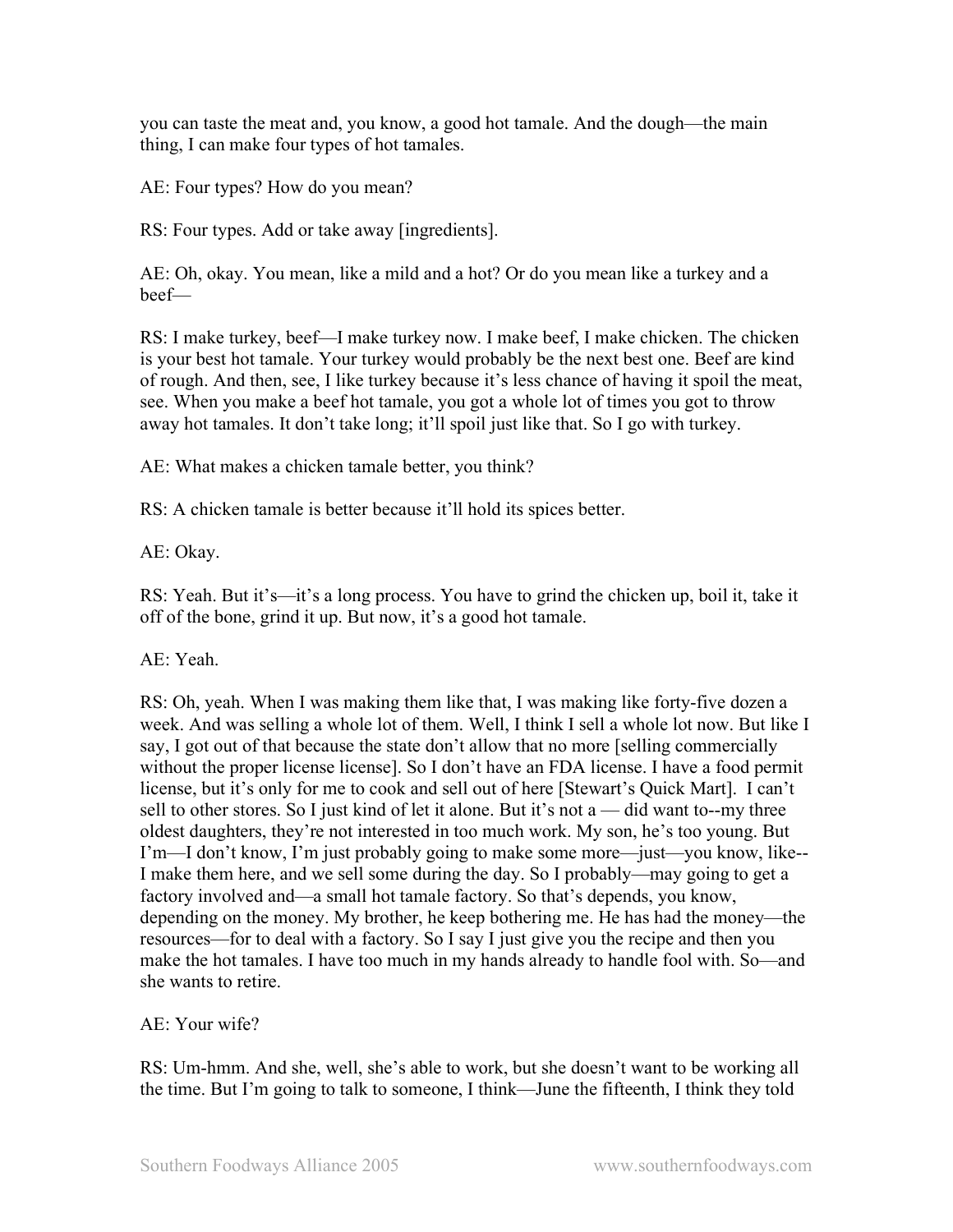you can taste the meat and, you know, a good hot tamale. And the dough—the main thing, I can make four types of hot tamales.

AE: Four types? How do you mean?

RS: Four types. Add or take away [ingredients].

AE: Oh, okay. You mean, like a mild and a hot? Or do you mean like a turkey and a beef—

RS: I make turkey, beef—I make turkey now. I make beef, I make chicken. The chicken is your best hot tamale. Your turkey would probably be the next best one. Beef are kind of rough. And then, see, I like turkey because it's less chance of having it spoil the meat, see. When you make a beef hot tamale, you got a whole lot of times you got to throw away hot tamales. It don't take long; it'll spoil just like that. So I go with turkey.

AE: What makes a chicken tamale better, you think?

RS: A chicken tamale is better because it'll hold its spices better.

AE: Okay.

RS: Yeah. But it's—it's a long process. You have to grind the chicken up, boil it, take it off of the bone, grind it up. But now, it's a good hot tamale.

AE: Yeah.

RS: Oh, yeah. When I was making them like that, I was making like forty-five dozen a week. And was selling a whole lot of them. Well, I think I sell a whole lot now. But like I say, I got out of that because the state don't allow that no more [selling commercially without the proper license license]. So I don't have an FDA license. I have a food permit license, but it's only for me to cook and sell out of here [Stewart's Quick Mart]. I can't sell to other stores. So I just kind of let it alone. But it's not a — did want to--my three oldest daughters, they're not interested in too much work. My son, he's too young. But I'm—I don't know, I'm just probably going to make some more—just—you know, like-- I make them here, and we sell some during the day. So I probably—may going to get a factory involved and—a small hot tamale factory. So that's depends, you know, depending on the money. My brother, he keep bothering me. He has had the money—the resources—for to deal with a factory. So I say I just give you the recipe and then you make the hot tamales. I have too much in my hands already to handle fool with. So—and she wants to retire.

AE: Your wife?

RS: Um-hmm. And she, well, she's able to work, but she doesn't want to be working all the time. But I'm going to talk to someone, I think—June the fifteenth, I think they told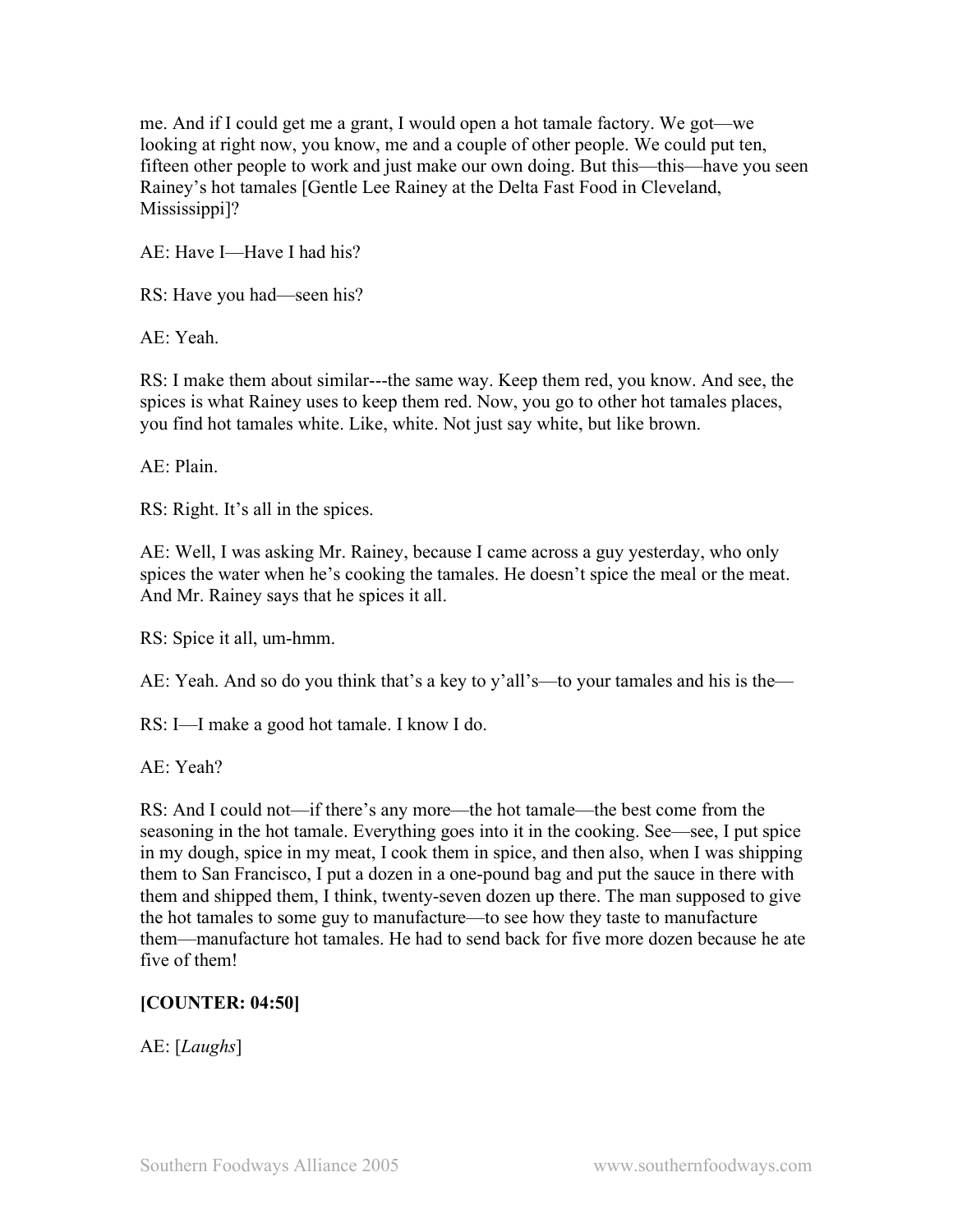me. And if I could get me a grant, I would open a hot tamale factory. We got—we looking at right now, you know, me and a couple of other people. We could put ten, fifteen other people to work and just make our own doing. But this—this—have you seen Rainey's hot tamales [Gentle Lee Rainey at the Delta Fast Food in Cleveland, Mississippi]?

AE: Have I—Have I had his?

RS: Have you had—seen his?

AE: Yeah.

RS: I make them about similar---the same way. Keep them red, you know. And see, the spices is what Rainey uses to keep them red. Now, you go to other hot tamales places, you find hot tamales white. Like, white. Not just say white, but like brown.

AE: Plain.

RS: Right. It's all in the spices.

AE: Well, I was asking Mr. Rainey, because I came across a guy yesterday, who only spices the water when he's cooking the tamales. He doesn't spice the meal or the meat. And Mr. Rainey says that he spices it all.

RS: Spice it all, um-hmm.

AE: Yeah. And so do you think that's a key to y'all's—to your tamales and his is the—

RS: I—I make a good hot tamale. I know I do.

AE: Yeah?

RS: And I could not—if there's any more—the hot tamale—the best come from the seasoning in the hot tamale. Everything goes into it in the cooking. See—see, I put spice in my dough, spice in my meat, I cook them in spice, and then also, when I was shipping them to San Francisco, I put a dozen in a one-pound bag and put the sauce in there with them and shipped them, I think, twenty-seven dozen up there. The man supposed to give the hot tamales to some guy to manufacture—to see how they taste to manufacture them—manufacture hot tamales. He had to send back for five more dozen because he ate five of them!

## **[COUNTER: 04:50]**

AE: [*Laughs*]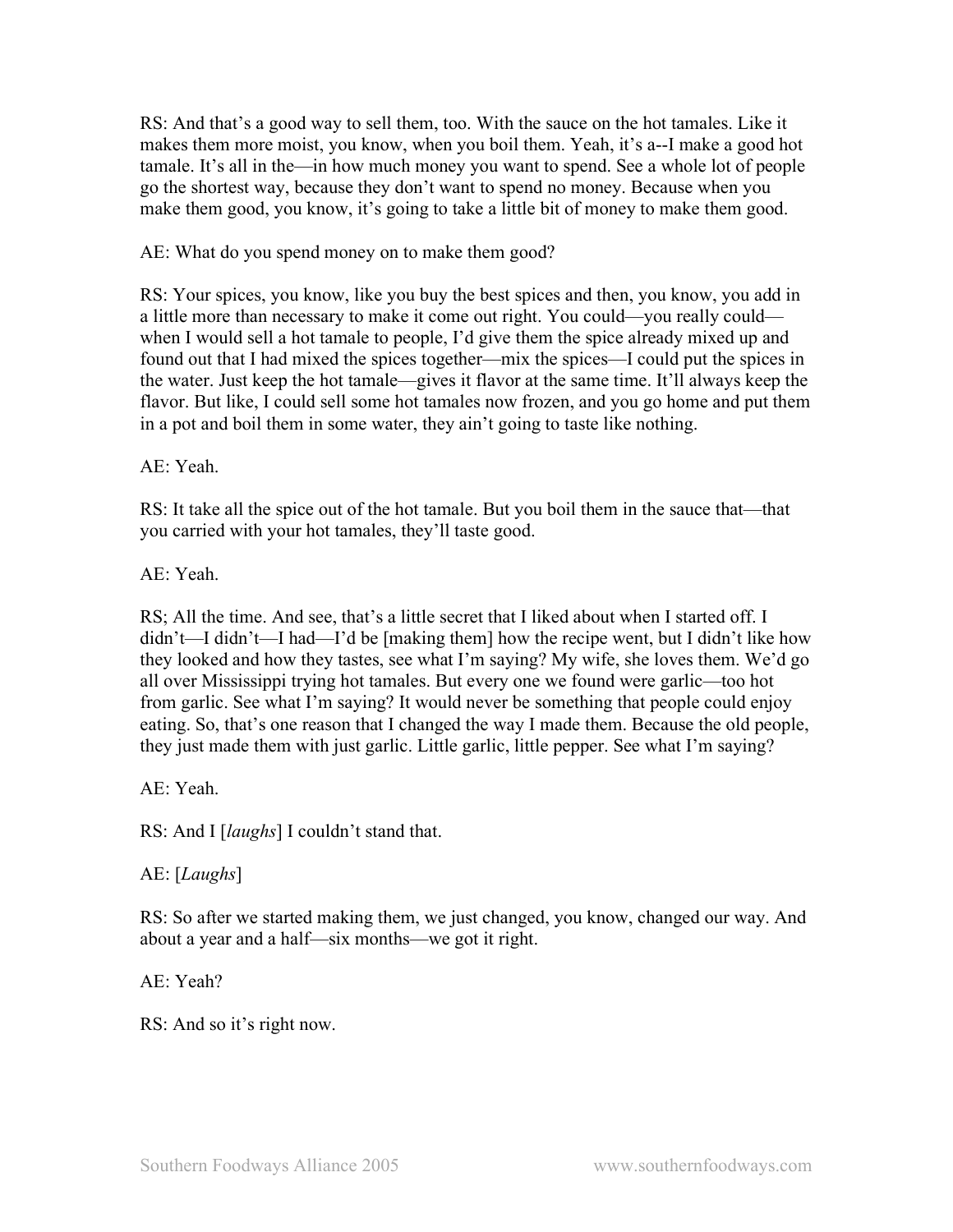RS: And that's a good way to sell them, too. With the sauce on the hot tamales. Like it makes them more moist, you know, when you boil them. Yeah, it's a--I make a good hot tamale. It's all in the—in how much money you want to spend. See a whole lot of people go the shortest way, because they don't want to spend no money. Because when you make them good, you know, it's going to take a little bit of money to make them good.

AE: What do you spend money on to make them good?

RS: Your spices, you know, like you buy the best spices and then, you know, you add in a little more than necessary to make it come out right. You could—you really could when I would sell a hot tamale to people, I'd give them the spice already mixed up and found out that I had mixed the spices together—mix the spices—I could put the spices in the water. Just keep the hot tamale—gives it flavor at the same time. It'll always keep the flavor. But like, I could sell some hot tamales now frozen, and you go home and put them in a pot and boil them in some water, they ain't going to taste like nothing.

AE: Yeah.

RS: It take all the spice out of the hot tamale. But you boil them in the sauce that—that you carried with your hot tamales, they'll taste good.

AE: Yeah.

RS; All the time. And see, that's a little secret that I liked about when I started off. I didn't—I didn't—I had—I'd be [making them] how the recipe went, but I didn't like how they looked and how they tastes, see what I'm saying? My wife, she loves them. We'd go all over Mississippi trying hot tamales. But every one we found were garlic—too hot from garlic. See what I'm saying? It would never be something that people could enjoy eating. So, that's one reason that I changed the way I made them. Because the old people, they just made them with just garlic. Little garlic, little pepper. See what I'm saying?

AE: Yeah.

RS: And I [*laughs*] I couldn't stand that.

AE: [*Laughs*]

RS: So after we started making them, we just changed, you know, changed our way. And about a year and a half—six months—we got it right.

AE: Yeah?

RS: And so it's right now.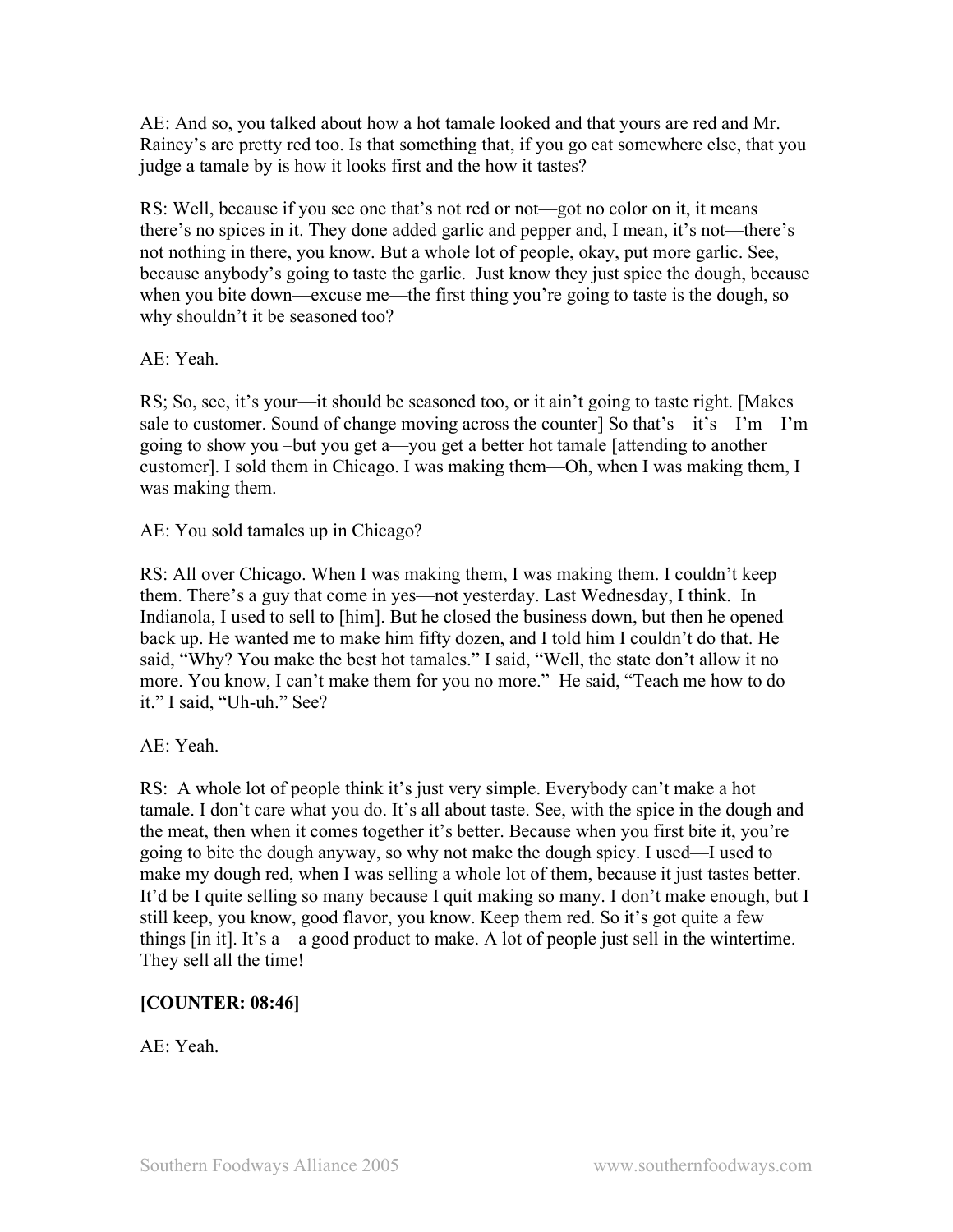AE: And so, you talked about how a hot tamale looked and that yours are red and Mr. Rainey's are pretty red too. Is that something that, if you go eat somewhere else, that you judge a tamale by is how it looks first and the how it tastes?

RS: Well, because if you see one that's not red or not—got no color on it, it means there's no spices in it. They done added garlic and pepper and, I mean, it's not—there's not nothing in there, you know. But a whole lot of people, okay, put more garlic. See, because anybody's going to taste the garlic. Just know they just spice the dough, because when you bite down—excuse me—the first thing you're going to taste is the dough, so why shouldn't it be seasoned too?

AE: Yeah.

RS; So, see, it's your—it should be seasoned too, or it ain't going to taste right. [Makes sale to customer. Sound of change moving across the counter] So that's—it's—I'm—I'm going to show you –but you get a—you get a better hot tamale [attending to another customer]. I sold them in Chicago. I was making them—Oh, when I was making them, I was making them.

AE: You sold tamales up in Chicago?

RS: All over Chicago. When I was making them, I was making them. I couldn't keep them. There's a guy that come in yes—not yesterday. Last Wednesday, I think. In Indianola, I used to sell to [him]. But he closed the business down, but then he opened back up. He wanted me to make him fifty dozen, and I told him I couldn't do that. He said, "Why? You make the best hot tamales." I said, "Well, the state don't allow it no more. You know, I can't make them for you no more." He said, "Teach me how to do it." I said, "Uh-uh." See?

AE: Yeah.

RS: A whole lot of people think it's just very simple. Everybody can't make a hot tamale. I don't care what you do. It's all about taste. See, with the spice in the dough and the meat, then when it comes together it's better. Because when you first bite it, you're going to bite the dough anyway, so why not make the dough spicy. I used—I used to make my dough red, when I was selling a whole lot of them, because it just tastes better. It'd be I quite selling so many because I quit making so many. I don't make enough, but I still keep, you know, good flavor, you know. Keep them red. So it's got quite a few things [in it]. It's a—a good product to make. A lot of people just sell in the wintertime. They sell all the time!

# **[COUNTER: 08:46]**

AE: Yeah.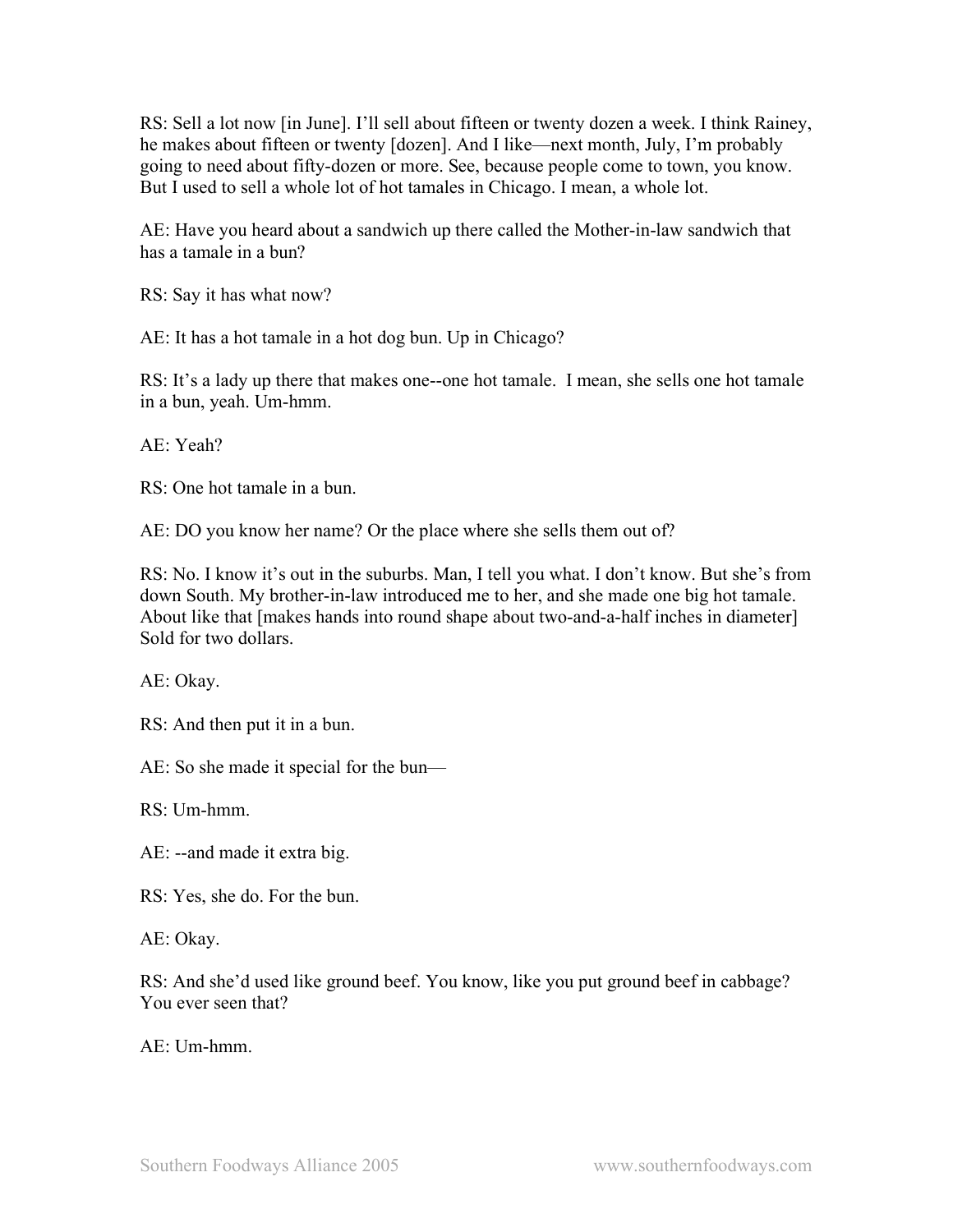RS: Sell a lot now [in June]. I'll sell about fifteen or twenty dozen a week. I think Rainey, he makes about fifteen or twenty [dozen]. And I like—next month, July, I'm probably going to need about fifty-dozen or more. See, because people come to town, you know. But I used to sell a whole lot of hot tamales in Chicago. I mean, a whole lot.

AE: Have you heard about a sandwich up there called the Mother-in-law sandwich that has a tamale in a bun?

RS: Say it has what now?

AE: It has a hot tamale in a hot dog bun. Up in Chicago?

RS: It's a lady up there that makes one--one hot tamale. I mean, she sells one hot tamale in a bun, yeah. Um-hmm.

AE: Yeah?

RS: One hot tamale in a bun.

AE: DO you know her name? Or the place where she sells them out of?

RS: No. I know it's out in the suburbs. Man, I tell you what. I don't know. But she's from down South. My brother-in-law introduced me to her, and she made one big hot tamale. About like that [makes hands into round shape about two-and-a-half inches in diameter] Sold for two dollars.

AE: Okay.

RS: And then put it in a bun.

AE: So she made it special for the bun—

RS: Um-hmm.

AE: --and made it extra big.

RS: Yes, she do. For the bun.

AE: Okay.

RS: And she'd used like ground beef. You know, like you put ground beef in cabbage? You ever seen that?

AE: Um-hmm.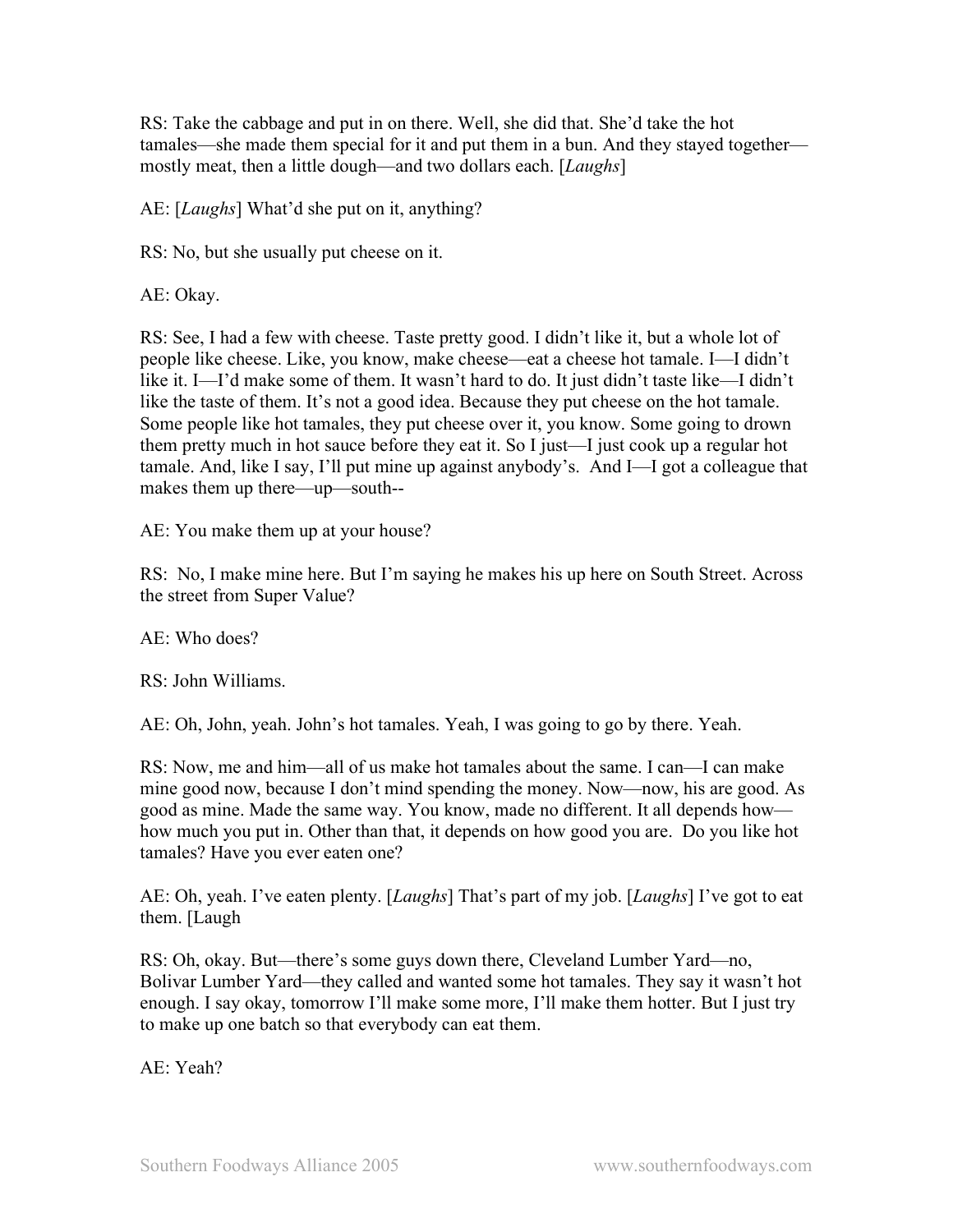RS: Take the cabbage and put in on there. Well, she did that. She'd take the hot tamales—she made them special for it and put them in a bun. And they stayed together mostly meat, then a little dough—and two dollars each. [*Laughs*]

AE: [*Laughs*] What'd she put on it, anything?

RS: No, but she usually put cheese on it.

AE: Okay.

RS: See, I had a few with cheese. Taste pretty good. I didn't like it, but a whole lot of people like cheese. Like, you know, make cheese—eat a cheese hot tamale. I—I didn't like it. I—I'd make some of them. It wasn't hard to do. It just didn't taste like—I didn't like the taste of them. It's not a good idea. Because they put cheese on the hot tamale. Some people like hot tamales, they put cheese over it, you know. Some going to drown them pretty much in hot sauce before they eat it. So I just—I just cook up a regular hot tamale. And, like I say, I'll put mine up against anybody's. And I—I got a colleague that makes them up there—up—south--

AE: You make them up at your house?

RS: No, I make mine here. But I'm saying he makes his up here on South Street. Across the street from Super Value?

AE: Who does?

RS: John Williams.

AE: Oh, John, yeah. John's hot tamales. Yeah, I was going to go by there. Yeah.

RS: Now, me and him—all of us make hot tamales about the same. I can—I can make mine good now, because I don't mind spending the money. Now—now, his are good. As good as mine. Made the same way. You know, made no different. It all depends how how much you put in. Other than that, it depends on how good you are. Do you like hot tamales? Have you ever eaten one?

AE: Oh, yeah. I've eaten plenty. [*Laughs*] That's part of my job. [*Laughs*] I've got to eat them. [Laugh

RS: Oh, okay. But—there's some guys down there, Cleveland Lumber Yard—no, Bolivar Lumber Yard—they called and wanted some hot tamales. They say it wasn't hot enough. I say okay, tomorrow I'll make some more, I'll make them hotter. But I just try to make up one batch so that everybody can eat them.

AE: Yeah?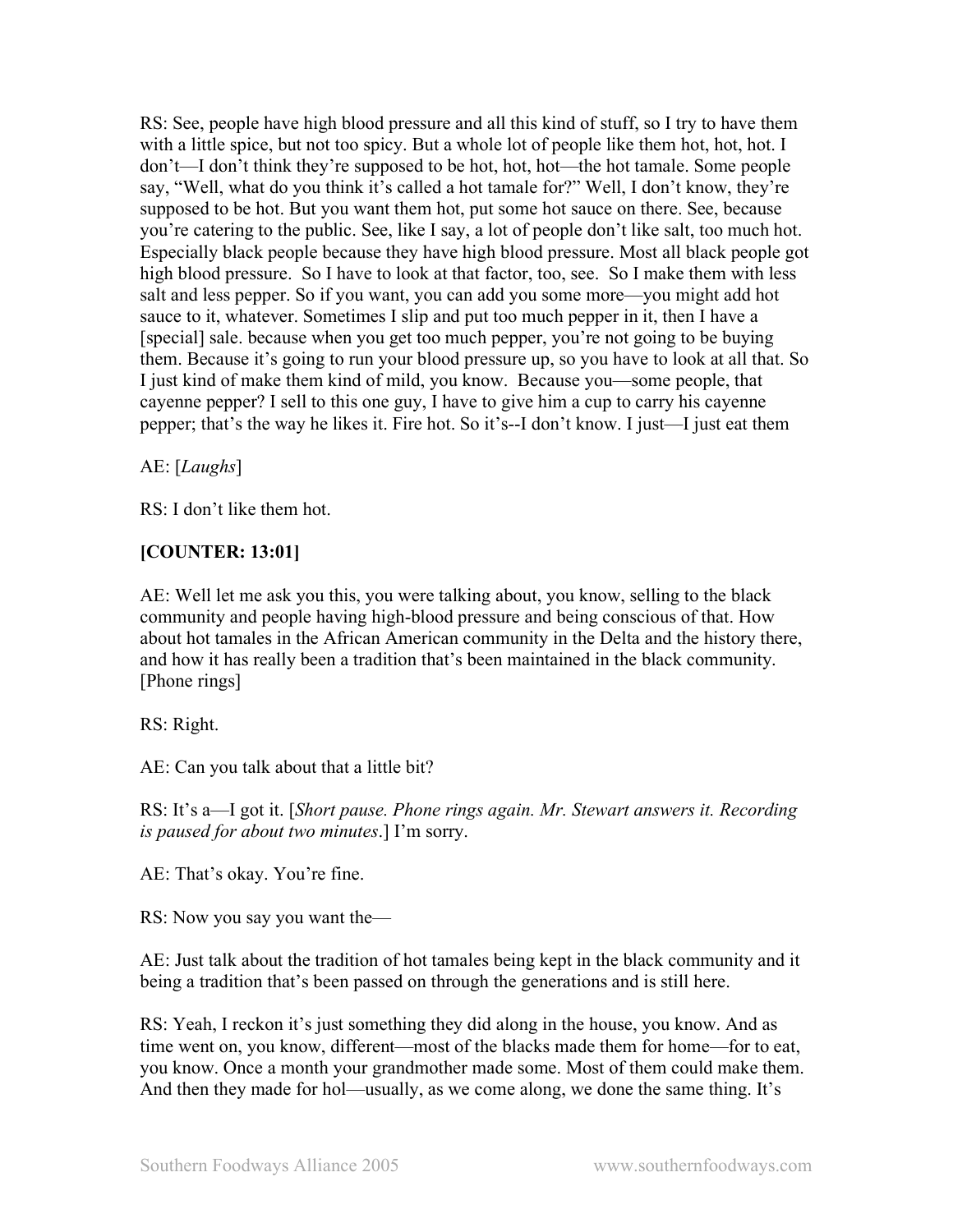RS: See, people have high blood pressure and all this kind of stuff, so I try to have them with a little spice, but not too spicy. But a whole lot of people like them hot, hot, hot. I don't—I don't think they're supposed to be hot, hot, hot—the hot tamale. Some people say, "Well, what do you think it's called a hot tamale for?" Well, I don't know, they're supposed to be hot. But you want them hot, put some hot sauce on there. See, because you're catering to the public. See, like I say, a lot of people don't like salt, too much hot. Especially black people because they have high blood pressure. Most all black people got high blood pressure. So I have to look at that factor, too, see. So I make them with less salt and less pepper. So if you want, you can add you some more—you might add hot sauce to it, whatever. Sometimes I slip and put too much pepper in it, then I have a [special] sale. because when you get too much pepper, you're not going to be buying them. Because it's going to run your blood pressure up, so you have to look at all that. So I just kind of make them kind of mild, you know. Because you—some people, that cayenne pepper? I sell to this one guy, I have to give him a cup to carry his cayenne pepper; that's the way he likes it. Fire hot. So it's--I don't know. I just—I just eat them

AE: [*Laughs*]

RS: I don't like them hot.

# **[COUNTER: 13:01]**

AE: Well let me ask you this, you were talking about, you know, selling to the black community and people having high-blood pressure and being conscious of that. How about hot tamales in the African American community in the Delta and the history there, and how it has really been a tradition that's been maintained in the black community. [Phone rings]

RS: Right.

AE: Can you talk about that a little bit?

RS: It's a—I got it. [*Short pause. Phone rings again. Mr. Stewart answers it. Recording is paused for about two minutes*.] I'm sorry.

AE: That's okay. You're fine.

RS: Now you say you want the—

AE: Just talk about the tradition of hot tamales being kept in the black community and it being a tradition that's been passed on through the generations and is still here.

RS: Yeah, I reckon it's just something they did along in the house, you know. And as time went on, you know, different—most of the blacks made them for home—for to eat, you know. Once a month your grandmother made some. Most of them could make them. And then they made for hol—usually, as we come along, we done the same thing. It's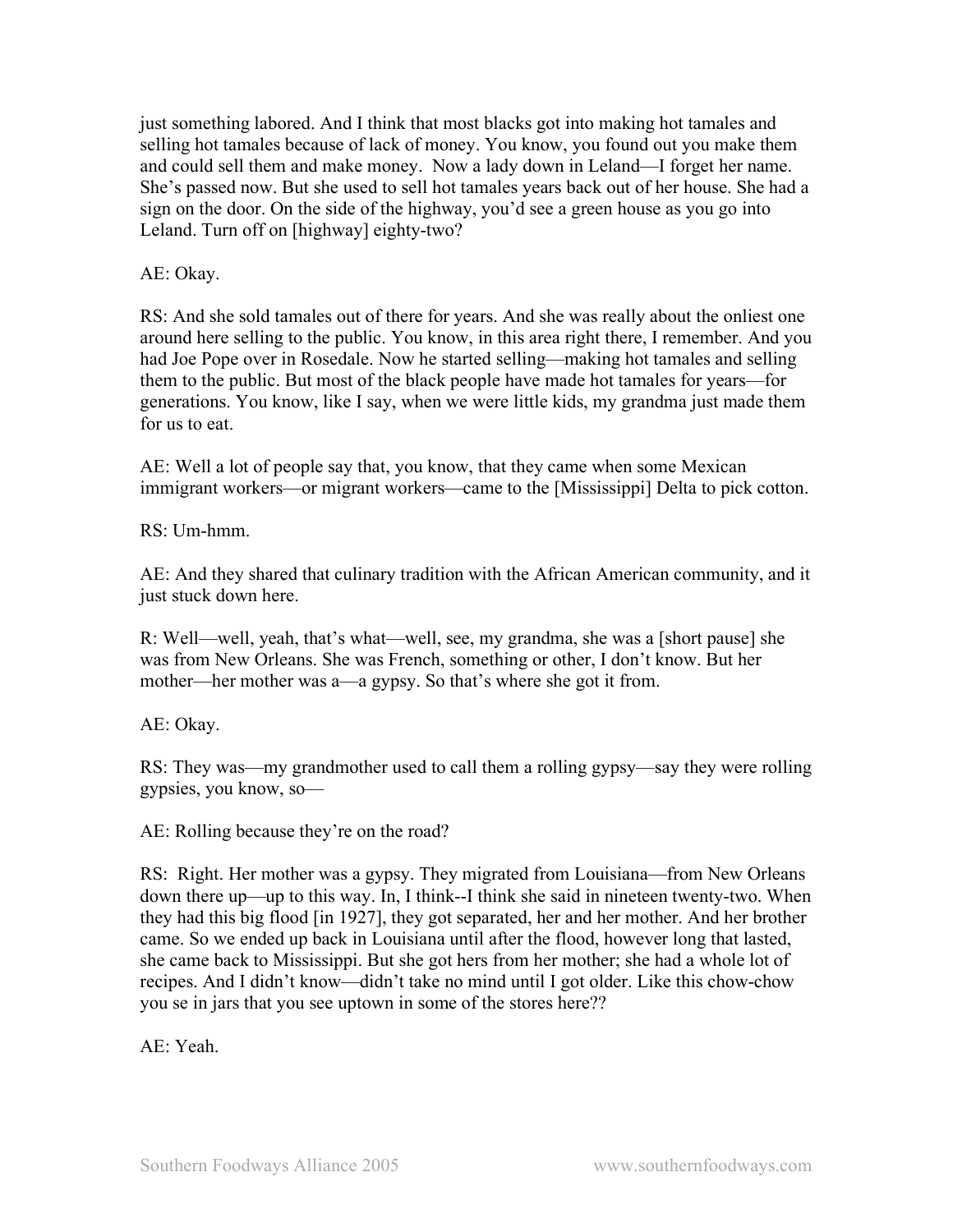just something labored. And I think that most blacks got into making hot tamales and selling hot tamales because of lack of money. You know, you found out you make them and could sell them and make money. Now a lady down in Leland—I forget her name. She's passed now. But she used to sell hot tamales years back out of her house. She had a sign on the door. On the side of the highway, you'd see a green house as you go into Leland. Turn off on [highway] eighty-two?

AE: Okay.

RS: And she sold tamales out of there for years. And she was really about the onliest one around here selling to the public. You know, in this area right there, I remember. And you had Joe Pope over in Rosedale. Now he started selling—making hot tamales and selling them to the public. But most of the black people have made hot tamales for years—for generations. You know, like I say, when we were little kids, my grandma just made them for us to eat.

AE: Well a lot of people say that, you know, that they came when some Mexican immigrant workers—or migrant workers—came to the [Mississippi] Delta to pick cotton.

RS: Um-hmm.

AE: And they shared that culinary tradition with the African American community, and it just stuck down here.

R: Well—well, yeah, that's what—well, see, my grandma, she was a [short pause] she was from New Orleans. She was French, something or other, I don't know. But her mother—her mother was a—a gypsy. So that's where she got it from.

AE: Okay.

RS: They was—my grandmother used to call them a rolling gypsy—say they were rolling gypsies, you know, so—

AE: Rolling because they're on the road?

RS: Right. Her mother was a gypsy. They migrated from Louisiana—from New Orleans down there up—up to this way. In, I think--I think she said in nineteen twenty-two. When they had this big flood [in 1927], they got separated, her and her mother. And her brother came. So we ended up back in Louisiana until after the flood, however long that lasted, she came back to Mississippi. But she got hers from her mother; she had a whole lot of recipes. And I didn't know—didn't take no mind until I got older. Like this chow-chow you se in jars that you see uptown in some of the stores here??

AE: Yeah.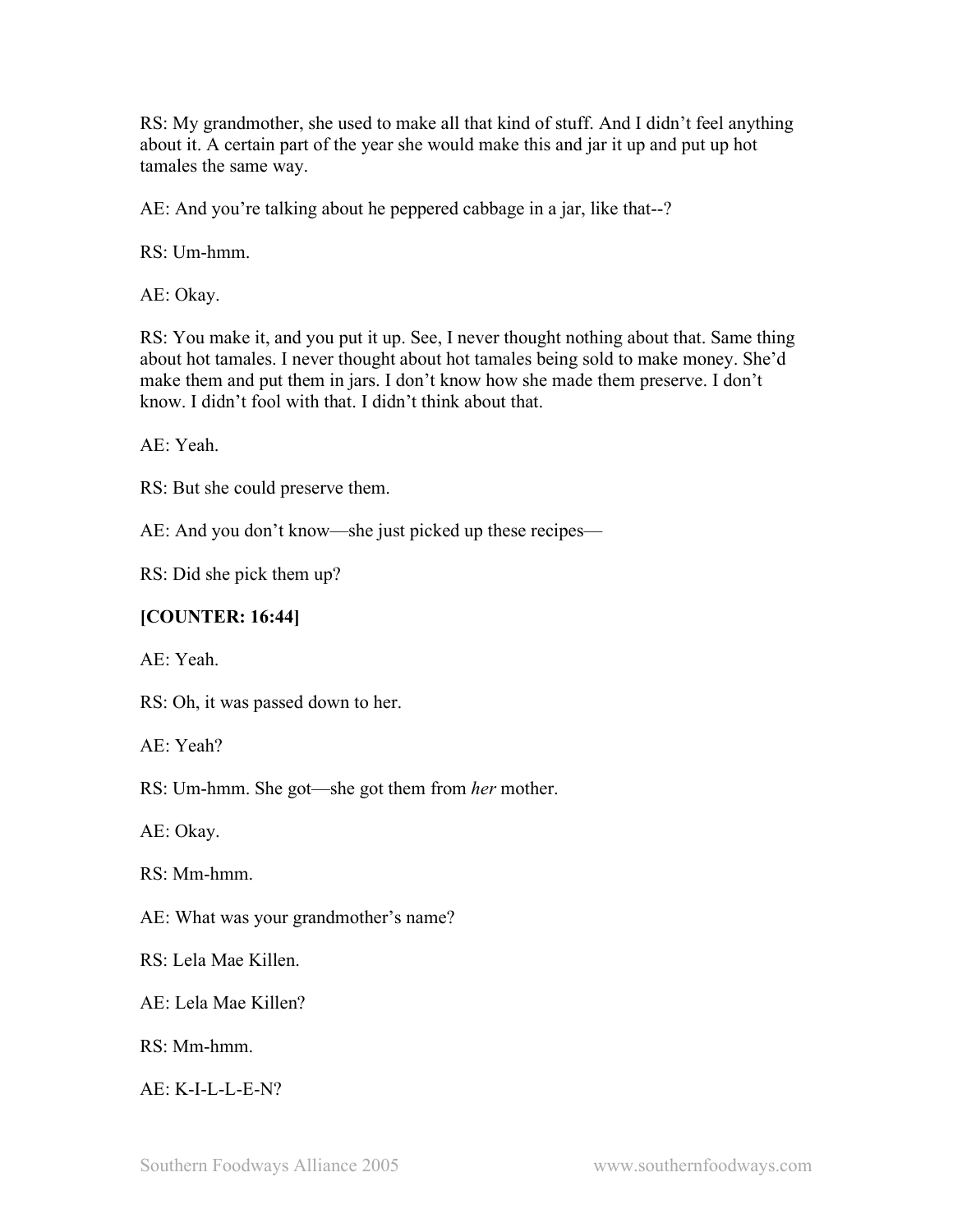RS: My grandmother, she used to make all that kind of stuff. And I didn't feel anything about it. A certain part of the year she would make this and jar it up and put up hot tamales the same way.

AE: And you're talking about he peppered cabbage in a jar, like that--?

RS: Um-hmm.

AE: Okay.

RS: You make it, and you put it up. See, I never thought nothing about that. Same thing about hot tamales. I never thought about hot tamales being sold to make money. She'd make them and put them in jars. I don't know how she made them preserve. I don't know. I didn't fool with that. I didn't think about that.

AE: Yeah.

RS: But she could preserve them.

AE: And you don't know—she just picked up these recipes—

RS: Did she pick them up?

### **[COUNTER: 16:44]**

AE: Yeah.

RS: Oh, it was passed down to her.

AE: Yeah?

RS: Um-hmm. She got—she got them from *her* mother.

AE: Okay.

RS: Mm-hmm.

AE: What was your grandmother's name?

RS: Lela Mae Killen.

AE: Lela Mae Killen?

RS: Mm-hmm.

AE: K-I-L-L-E-N?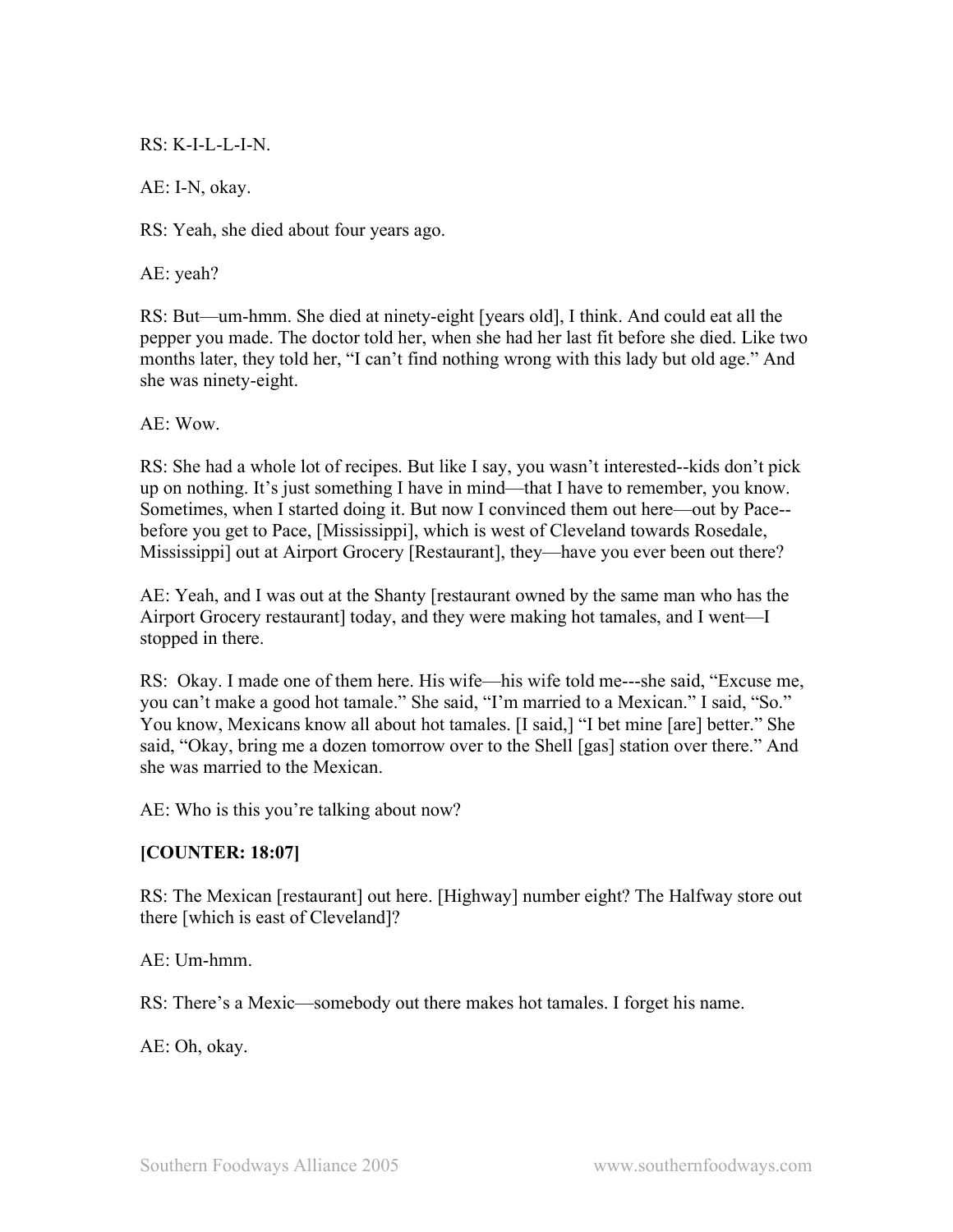### $RS: K-I-I-I-I-N$

AE: I-N, okay.

RS: Yeah, she died about four years ago.

AE: yeah?

RS: But—um-hmm. She died at ninety-eight [years old], I think. And could eat all the pepper you made. The doctor told her, when she had her last fit before she died. Like two months later, they told her, "I can't find nothing wrong with this lady but old age." And she was ninety-eight.

 $AE: Wow$ 

RS: She had a whole lot of recipes. But like I say, you wasn't interested--kids don't pick up on nothing. It's just something I have in mind—that I have to remember, you know. Sometimes, when I started doing it. But now I convinced them out here—out by Pace- before you get to Pace, [Mississippi], which is west of Cleveland towards Rosedale, Mississippi] out at Airport Grocery [Restaurant], they—have you ever been out there?

AE: Yeah, and I was out at the Shanty [restaurant owned by the same man who has the Airport Grocery restaurant] today, and they were making hot tamales, and I went—I stopped in there.

RS: Okay. I made one of them here. His wife—his wife told me---she said, "Excuse me, you can't make a good hot tamale." She said, "I'm married to a Mexican." I said, "So." You know, Mexicans know all about hot tamales. [I said,] "I bet mine [are] better." She said, "Okay, bring me a dozen tomorrow over to the Shell [gas] station over there." And she was married to the Mexican.

AE: Who is this you're talking about now?

## **[COUNTER: 18:07]**

RS: The Mexican [restaurant] out here. [Highway] number eight? The Halfway store out there [which is east of Cleveland]?

AE: Um-hmm.

RS: There's a Mexic—somebody out there makes hot tamales. I forget his name.

AE: Oh, okay.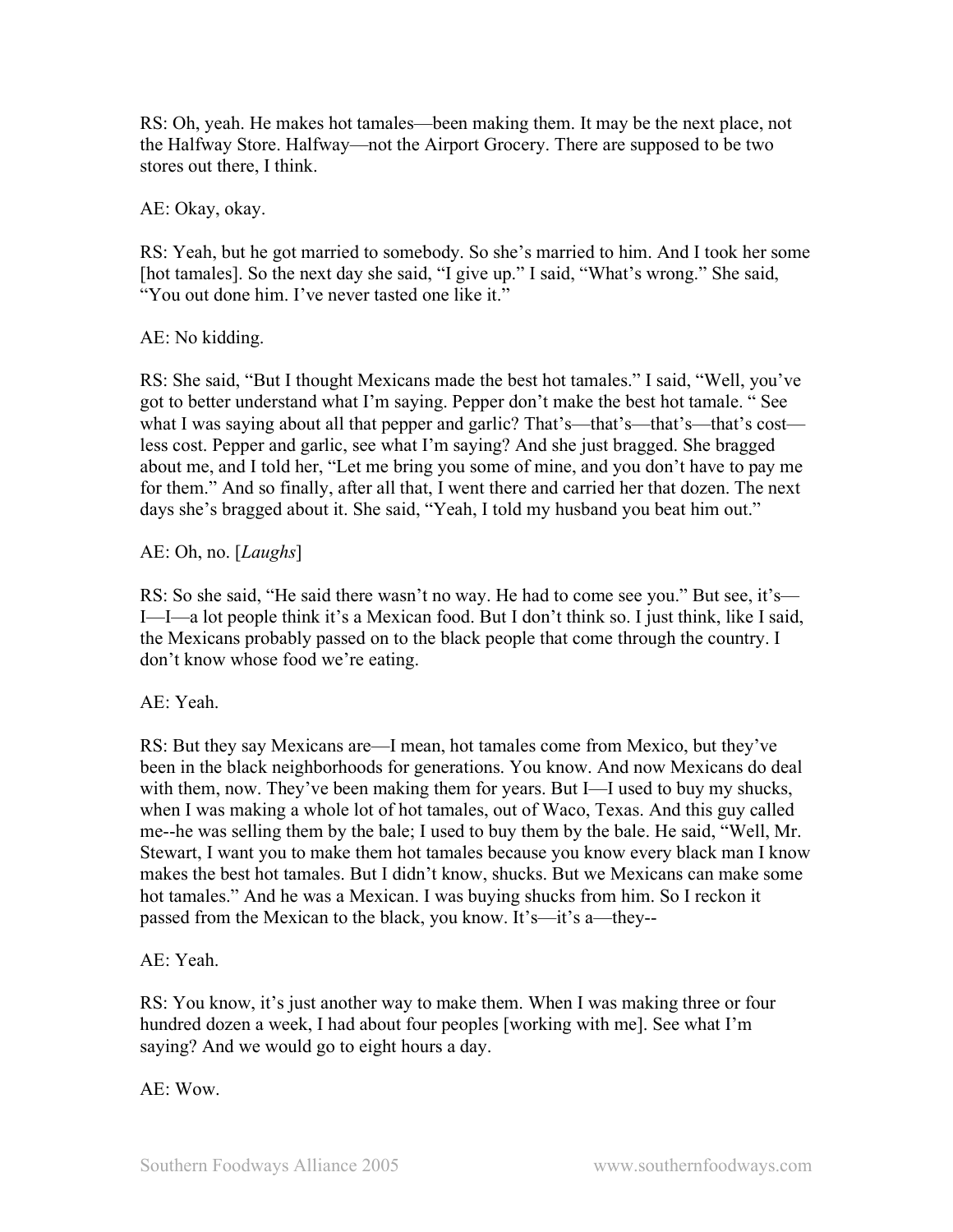RS: Oh, yeah. He makes hot tamales—been making them. It may be the next place, not the Halfway Store. Halfway—not the Airport Grocery. There are supposed to be two stores out there, I think.

AE: Okay, okay.

RS: Yeah, but he got married to somebody. So she's married to him. And I took her some [hot tamales]. So the next day she said, "I give up." I said, "What's wrong." She said, "You out done him. I've never tasted one like it."

AE: No kidding.

RS: She said, "But I thought Mexicans made the best hot tamales." I said, "Well, you've got to better understand what I'm saying. Pepper don't make the best hot tamale. " See what I was saying about all that pepper and garlic? That's—that's—that's—that's cost less cost. Pepper and garlic, see what I'm saying? And she just bragged. She bragged about me, and I told her, "Let me bring you some of mine, and you don't have to pay me for them." And so finally, after all that, I went there and carried her that dozen. The next days she's bragged about it. She said, "Yeah, I told my husband you beat him out."

AE: Oh, no. [*Laughs*]

RS: So she said, "He said there wasn't no way. He had to come see you." But see, it's— I—I—a lot people think it's a Mexican food. But I don't think so. I just think, like I said, the Mexicans probably passed on to the black people that come through the country. I don't know whose food we're eating.

AE: Yeah.

RS: But they say Mexicans are—I mean, hot tamales come from Mexico, but they've been in the black neighborhoods for generations. You know. And now Mexicans do deal with them, now. They've been making them for years. But I—I used to buy my shucks, when I was making a whole lot of hot tamales, out of Waco, Texas. And this guy called me--he was selling them by the bale; I used to buy them by the bale. He said, "Well, Mr. Stewart, I want you to make them hot tamales because you know every black man I know makes the best hot tamales. But I didn't know, shucks. But we Mexicans can make some hot tamales." And he was a Mexican. I was buying shucks from him. So I reckon it passed from the Mexican to the black, you know. It's—it's a—they--

AE: Yeah.

RS: You know, it's just another way to make them. When I was making three or four hundred dozen a week, I had about four peoples [working with me]. See what I'm saying? And we would go to eight hours a day.

AE: Wow.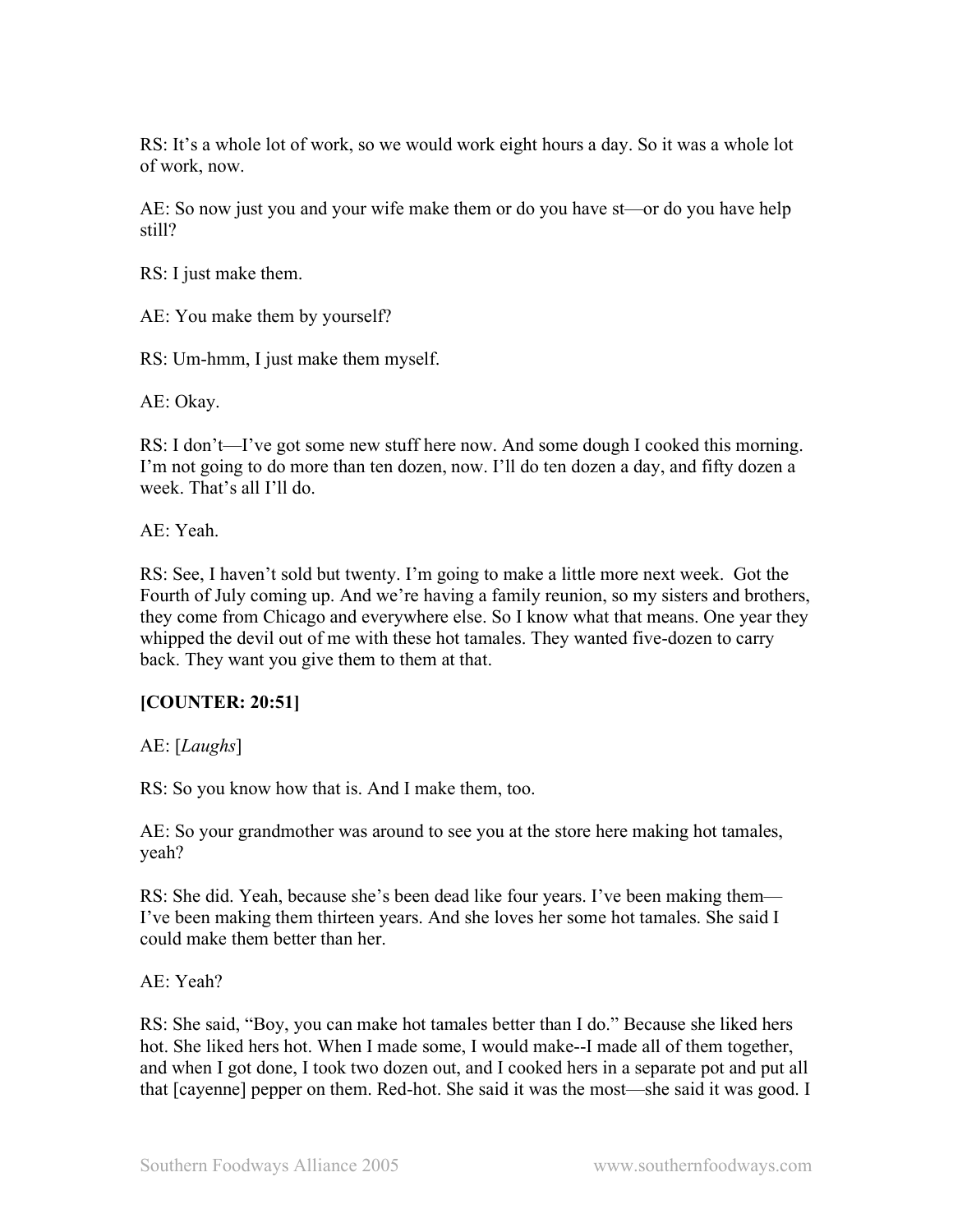RS: It's a whole lot of work, so we would work eight hours a day. So it was a whole lot of work, now.

AE: So now just you and your wife make them or do you have st—or do you have help still?

RS: I just make them.

AE: You make them by yourself?

RS: Um-hmm, I just make them myself.

AE: Okay.

RS: I don't—I've got some new stuff here now. And some dough I cooked this morning. I'm not going to do more than ten dozen, now. I'll do ten dozen a day, and fifty dozen a week. That's all I'll do.

AE: Yeah.

RS: See, I haven't sold but twenty. I'm going to make a little more next week. Got the Fourth of July coming up. And we're having a family reunion, so my sisters and brothers, they come from Chicago and everywhere else. So I know what that means. One year they whipped the devil out of me with these hot tamales. They wanted five-dozen to carry back. They want you give them to them at that.

## **[COUNTER: 20:51]**

AE: [*Laughs*]

RS: So you know how that is. And I make them, too.

AE: So your grandmother was around to see you at the store here making hot tamales, yeah?

RS: She did. Yeah, because she's been dead like four years. I've been making them— I've been making them thirteen years. And she loves her some hot tamales. She said I could make them better than her.

AE: Yeah?

RS: She said, "Boy, you can make hot tamales better than I do." Because she liked hers hot. She liked hers hot. When I made some, I would make--I made all of them together, and when I got done, I took two dozen out, and I cooked hers in a separate pot and put all that [cayenne] pepper on them. Red-hot. She said it was the most—she said it was good. I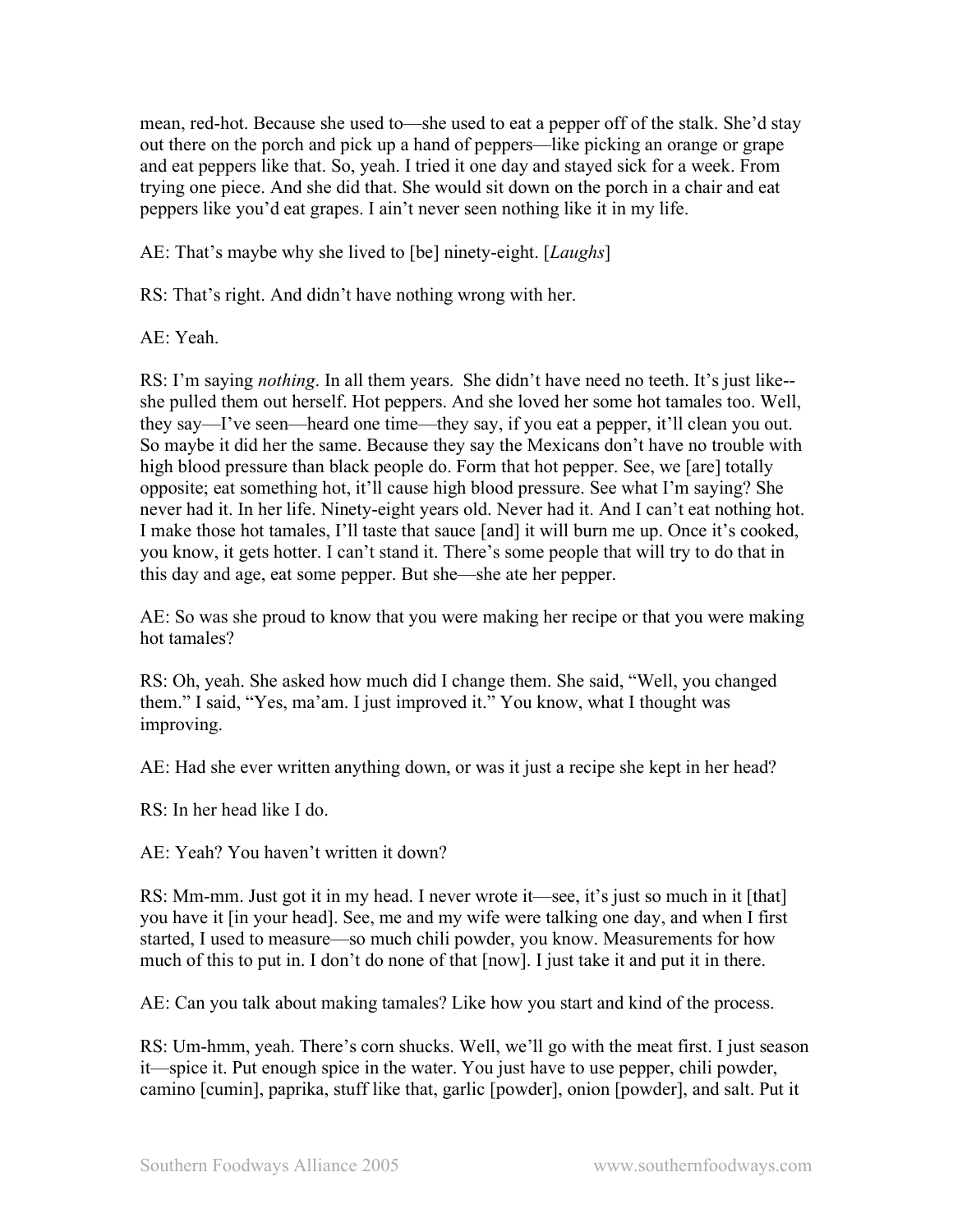mean, red-hot. Because she used to—she used to eat a pepper off of the stalk. She'd stay out there on the porch and pick up a hand of peppers—like picking an orange or grape and eat peppers like that. So, yeah. I tried it one day and stayed sick for a week. From trying one piece. And she did that. She would sit down on the porch in a chair and eat peppers like you'd eat grapes. I ain't never seen nothing like it in my life.

AE: That's maybe why she lived to [be] ninety-eight. [*Laughs*]

RS: That's right. And didn't have nothing wrong with her.

AE: Yeah.

RS: I'm saying *nothing*. In all them years. She didn't have need no teeth. It's just like- she pulled them out herself. Hot peppers. And she loved her some hot tamales too. Well, they say—I've seen—heard one time—they say, if you eat a pepper, it'll clean you out. So maybe it did her the same. Because they say the Mexicans don't have no trouble with high blood pressure than black people do. Form that hot pepper. See, we [are] totally opposite; eat something hot, it'll cause high blood pressure. See what I'm saying? She never had it. In her life. Ninety-eight years old. Never had it. And I can't eat nothing hot. I make those hot tamales, I'll taste that sauce [and] it will burn me up. Once it's cooked, you know, it gets hotter. I can't stand it. There's some people that will try to do that in this day and age, eat some pepper. But she—she ate her pepper.

AE: So was she proud to know that you were making her recipe or that you were making hot tamales?

RS: Oh, yeah. She asked how much did I change them. She said, "Well, you changed them." I said, "Yes, ma'am. I just improved it." You know, what I thought was improving.

AE: Had she ever written anything down, or was it just a recipe she kept in her head?

RS: In her head like I do.

AE: Yeah? You haven't written it down?

RS: Mm-mm. Just got it in my head. I never wrote it—see, it's just so much in it [that] you have it [in your head]. See, me and my wife were talking one day, and when I first started, I used to measure—so much chili powder, you know. Measurements for how much of this to put in. I don't do none of that [now]. I just take it and put it in there.

AE: Can you talk about making tamales? Like how you start and kind of the process.

RS: Um-hmm, yeah. There's corn shucks. Well, we'll go with the meat first. I just season it—spice it. Put enough spice in the water. You just have to use pepper, chili powder, camino [cumin], paprika, stuff like that, garlic [powder], onion [powder], and salt. Put it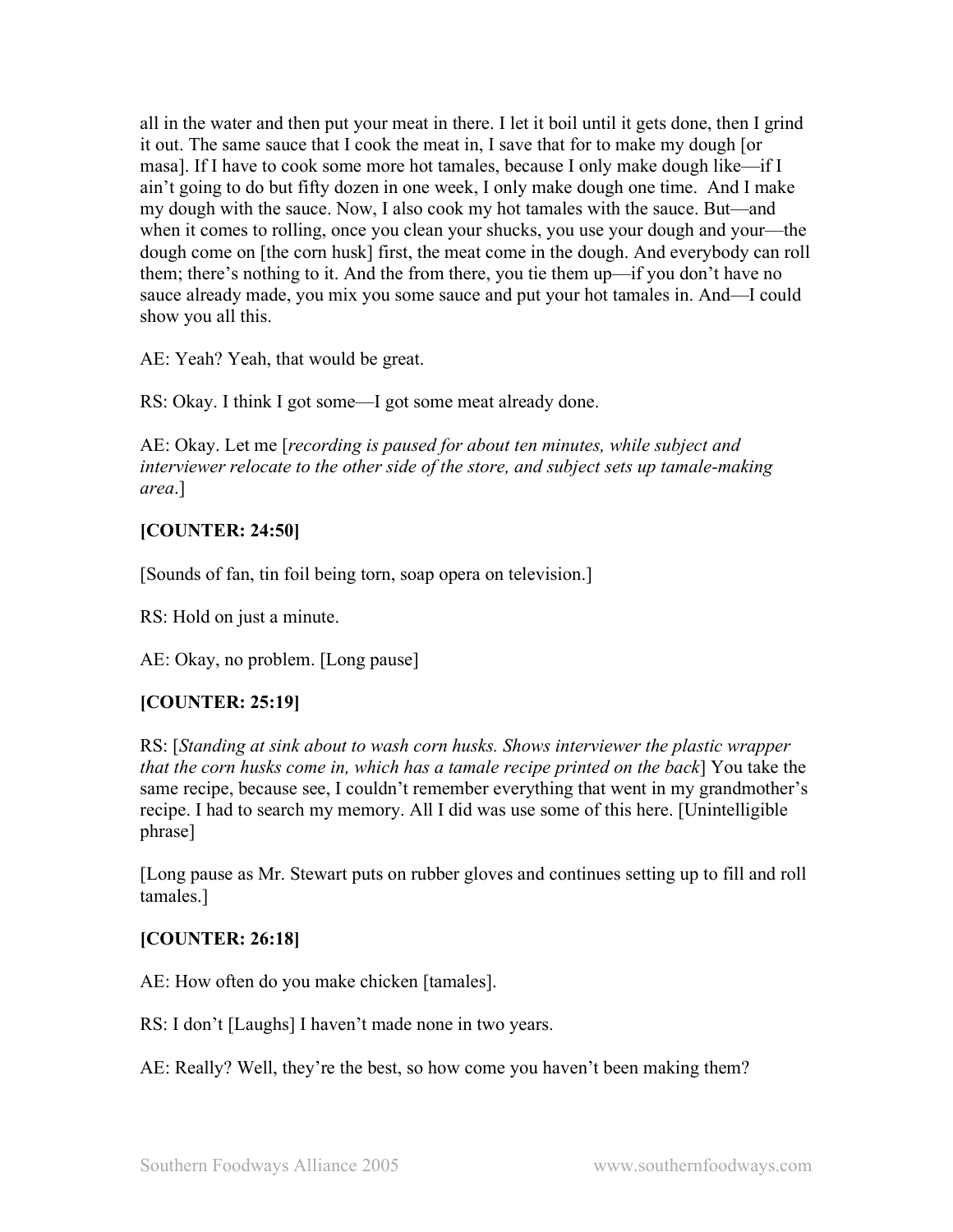all in the water and then put your meat in there. I let it boil until it gets done, then I grind it out. The same sauce that I cook the meat in, I save that for to make my dough [or masa]. If I have to cook some more hot tamales, because I only make dough like—if I ain't going to do but fifty dozen in one week, I only make dough one time. And I make my dough with the sauce. Now, I also cook my hot tamales with the sauce. But—and when it comes to rolling, once you clean your shucks, you use your dough and your—the dough come on [the corn husk] first, the meat come in the dough. And everybody can roll them; there's nothing to it. And the from there, you tie them up—if you don't have no sauce already made, you mix you some sauce and put your hot tamales in. And—I could show you all this.

AE: Yeah? Yeah, that would be great.

RS: Okay. I think I got some—I got some meat already done.

AE: Okay. Let me [*recording is paused for about ten minutes, while subject and interviewer relocate to the other side of the store, and subject sets up tamale-making area*.]

## **[COUNTER: 24:50]**

[Sounds of fan, tin foil being torn, soap opera on television.]

RS: Hold on just a minute.

AE: Okay, no problem. [Long pause]

## **[COUNTER: 25:19]**

RS: [*Standing at sink about to wash corn husks. Shows interviewer the plastic wrapper that the corn husks come in, which has a tamale recipe printed on the back*] You take the same recipe, because see, I couldn't remember everything that went in my grandmother's recipe. I had to search my memory. All I did was use some of this here. [Unintelligible phrase]

[Long pause as Mr. Stewart puts on rubber gloves and continues setting up to fill and roll tamales.]

## **[COUNTER: 26:18]**

AE: How often do you make chicken [tamales].

RS: I don't [Laughs] I haven't made none in two years.

AE: Really? Well, they're the best, so how come you haven't been making them?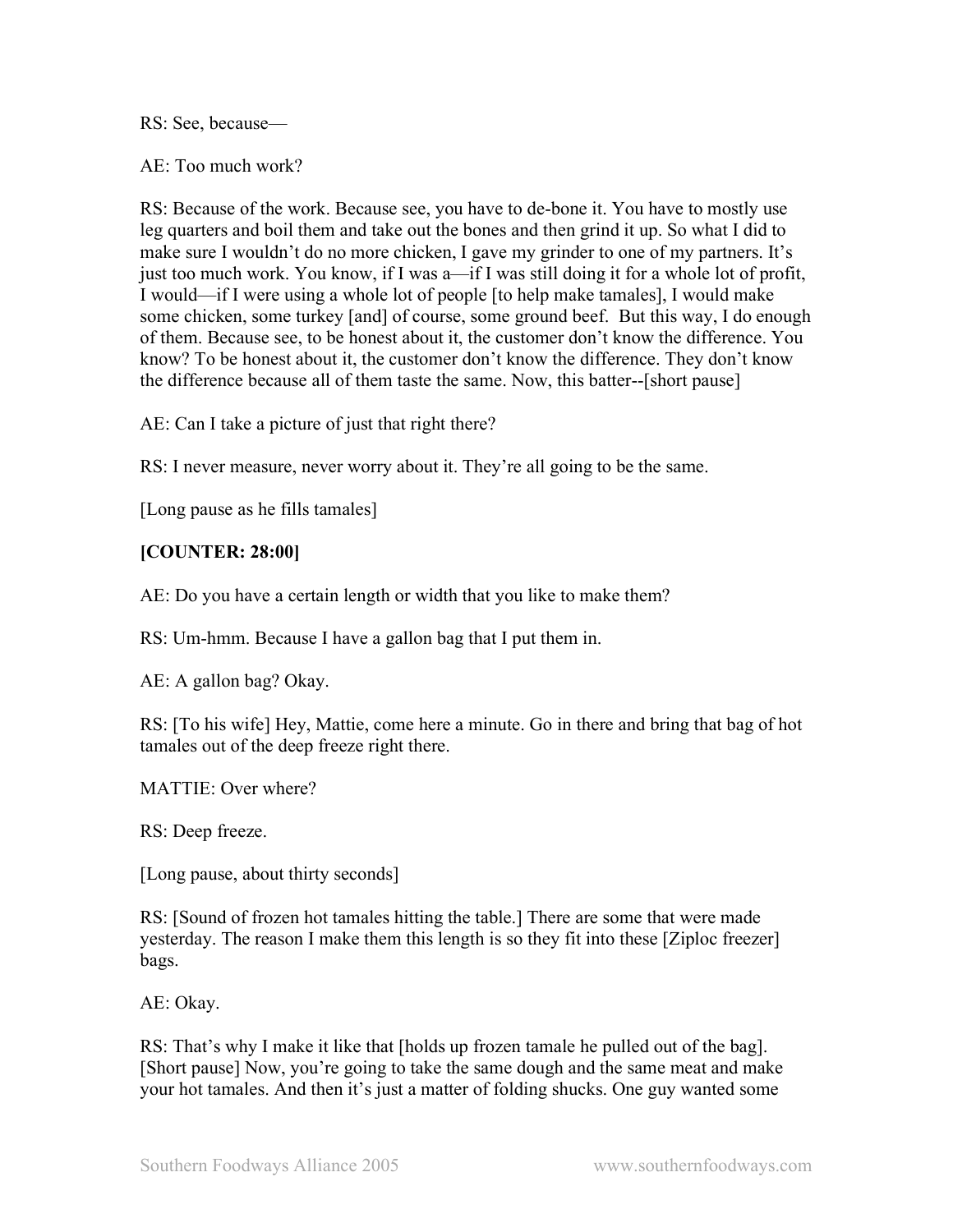RS: See, because—

AE: Too much work?

RS: Because of the work. Because see, you have to de-bone it. You have to mostly use leg quarters and boil them and take out the bones and then grind it up. So what I did to make sure I wouldn't do no more chicken, I gave my grinder to one of my partners. It's just too much work. You know, if I was a—if I was still doing it for a whole lot of profit, I would—if I were using a whole lot of people [to help make tamales], I would make some chicken, some turkey [and] of course, some ground beef. But this way, I do enough of them. Because see, to be honest about it, the customer don't know the difference. You know? To be honest about it, the customer don't know the difference. They don't know the difference because all of them taste the same. Now, this batter--[short pause]

AE: Can I take a picture of just that right there?

RS: I never measure, never worry about it. They're all going to be the same.

[Long pause as he fills tamales]

## **[COUNTER: 28:00]**

AE: Do you have a certain length or width that you like to make them?

RS: Um-hmm. Because I have a gallon bag that I put them in.

AE: A gallon bag? Okay.

RS: [To his wife] Hey, Mattie, come here a minute. Go in there and bring that bag of hot tamales out of the deep freeze right there.

MATTIE: Over where?

RS: Deep freeze.

[Long pause, about thirty seconds]

RS: [Sound of frozen hot tamales hitting the table.] There are some that were made yesterday. The reason I make them this length is so they fit into these [Ziploc freezer] bags.

AE: Okay.

RS: That's why I make it like that [holds up frozen tamale he pulled out of the bag]. [Short pause] Now, you're going to take the same dough and the same meat and make your hot tamales. And then it's just a matter of folding shucks. One guy wanted some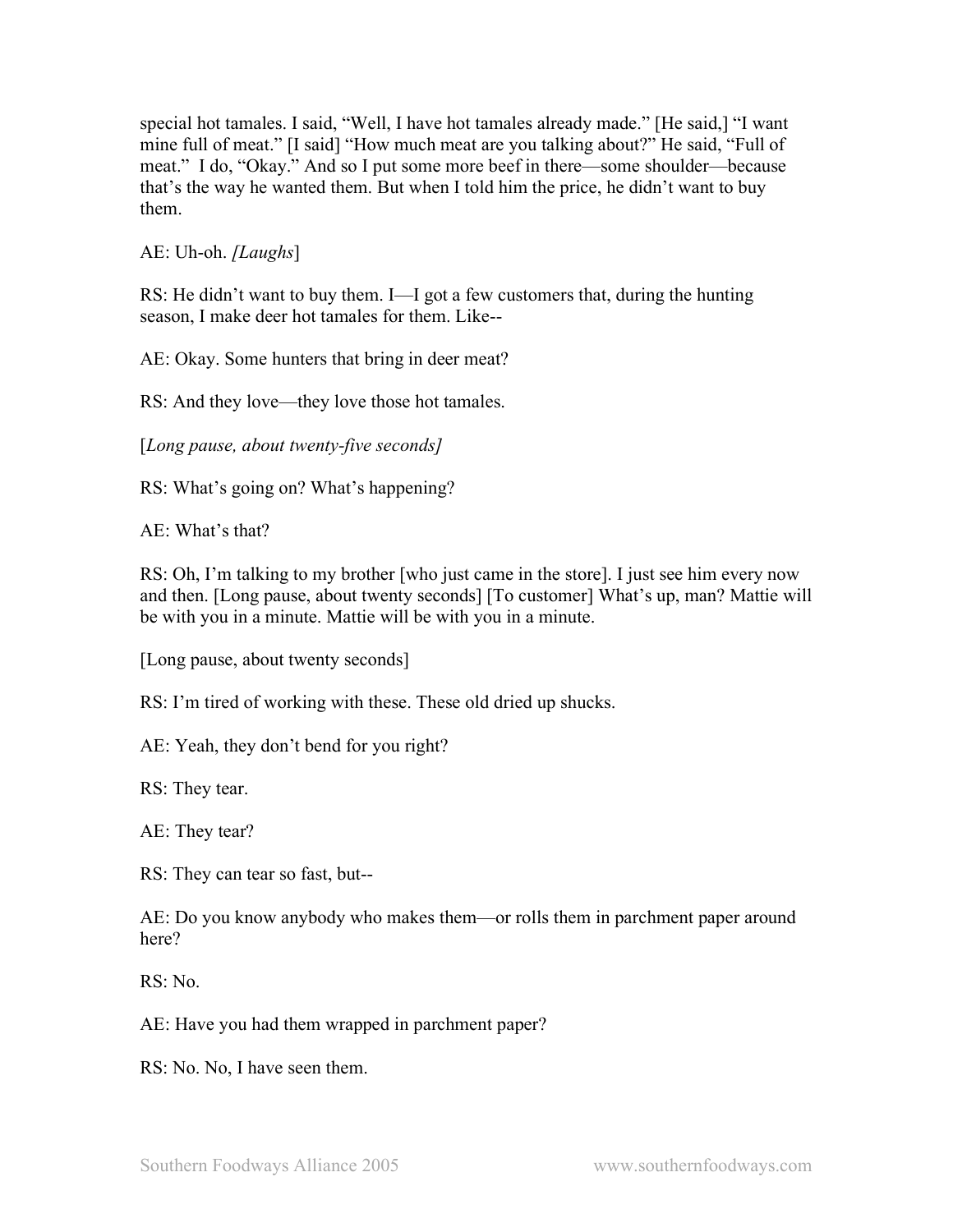special hot tamales. I said, "Well, I have hot tamales already made." [He said,] "I want mine full of meat." [I said] "How much meat are you talking about?" He said, "Full of meat." I do, "Okay." And so I put some more beef in there—some shoulder—because that's the way he wanted them. But when I told him the price, he didn't want to buy them.

AE: Uh-oh. *[Laughs*]

RS: He didn't want to buy them. I—I got a few customers that, during the hunting season, I make deer hot tamales for them. Like--

AE: Okay. Some hunters that bring in deer meat?

RS: And they love—they love those hot tamales.

[*Long pause, about twenty-five seconds]*

RS: What's going on? What's happening?

 $AE: What's that?$ 

RS: Oh, I'm talking to my brother [who just came in the store]. I just see him every now and then. [Long pause, about twenty seconds] [To customer] What's up, man? Mattie will be with you in a minute. Mattie will be with you in a minute.

[Long pause, about twenty seconds]

RS: I'm tired of working with these. These old dried up shucks.

AE: Yeah, they don't bend for you right?

RS: They tear.

AE: They tear?

RS: They can tear so fast, but--

AE: Do you know anybody who makes them—or rolls them in parchment paper around here?

RS: No.

AE: Have you had them wrapped in parchment paper?

RS: No. No, I have seen them.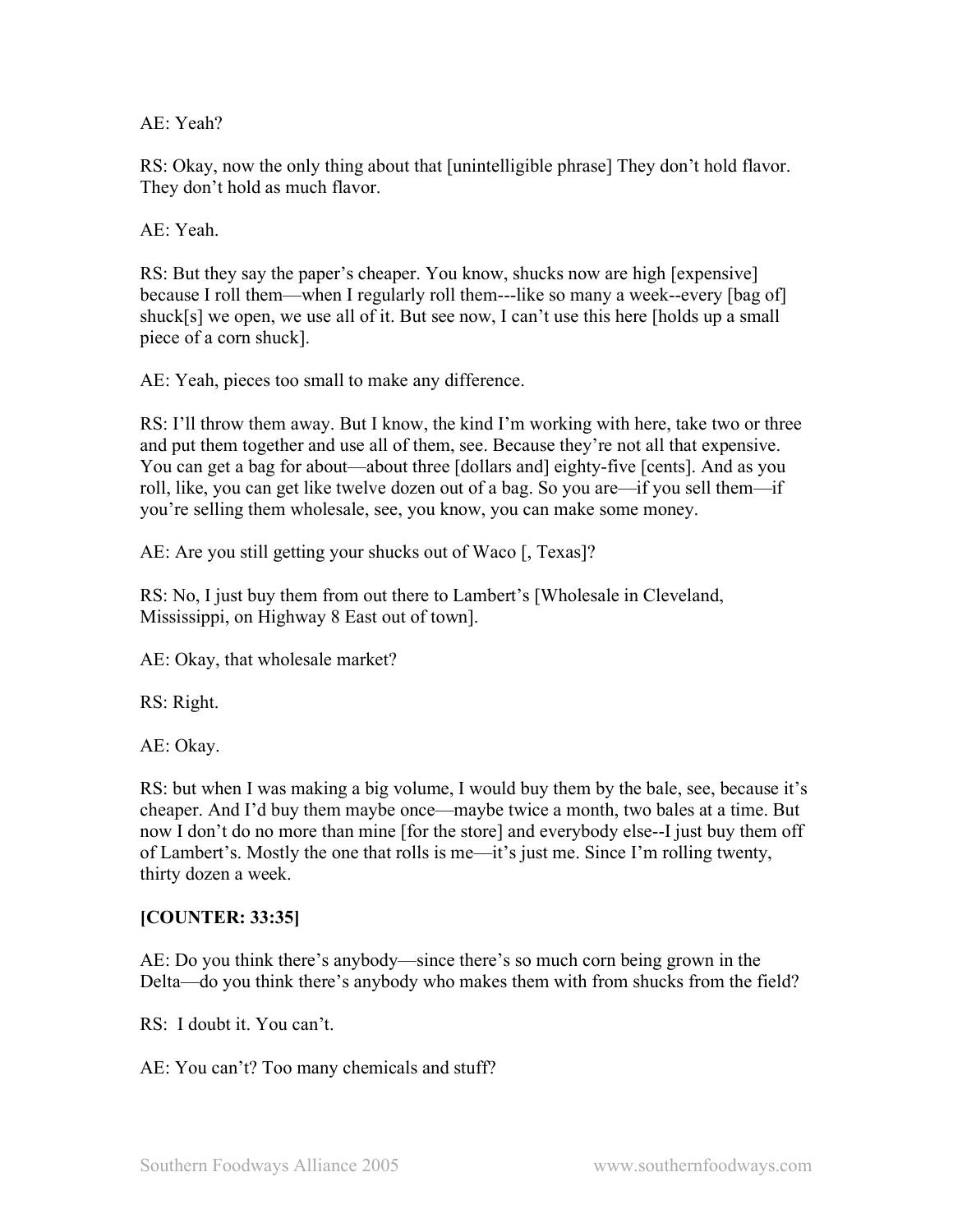AE: Yeah?

RS: Okay, now the only thing about that [unintelligible phrase] They don't hold flavor. They don't hold as much flavor.

AE: Yeah.

RS: But they say the paper's cheaper. You know, shucks now are high [expensive] because I roll them—when I regularly roll them---like so many a week--every [bag of] shuck[s] we open, we use all of it. But see now, I can't use this here [holds up a small piece of a corn shuck].

AE: Yeah, pieces too small to make any difference.

RS: I'll throw them away. But I know, the kind I'm working with here, take two or three and put them together and use all of them, see. Because they're not all that expensive. You can get a bag for about—about three [dollars and] eighty-five [cents]. And as you roll, like, you can get like twelve dozen out of a bag. So you are—if you sell them—if you're selling them wholesale, see, you know, you can make some money.

AE: Are you still getting your shucks out of Waco [, Texas]?

RS: No, I just buy them from out there to Lambert's [Wholesale in Cleveland, Mississippi, on Highway 8 East out of town].

AE: Okay, that wholesale market?

RS: Right.

AE: Okay.

RS: but when I was making a big volume, I would buy them by the bale, see, because it's cheaper. And I'd buy them maybe once—maybe twice a month, two bales at a time. But now I don't do no more than mine [for the store] and everybody else--I just buy them off of Lambert's. Mostly the one that rolls is me—it's just me. Since I'm rolling twenty, thirty dozen a week.

## **[COUNTER: 33:35]**

AE: Do you think there's anybody—since there's so much corn being grown in the Delta—do you think there's anybody who makes them with from shucks from the field?

RS: I doubt it. You can't.

AE: You can't? Too many chemicals and stuff?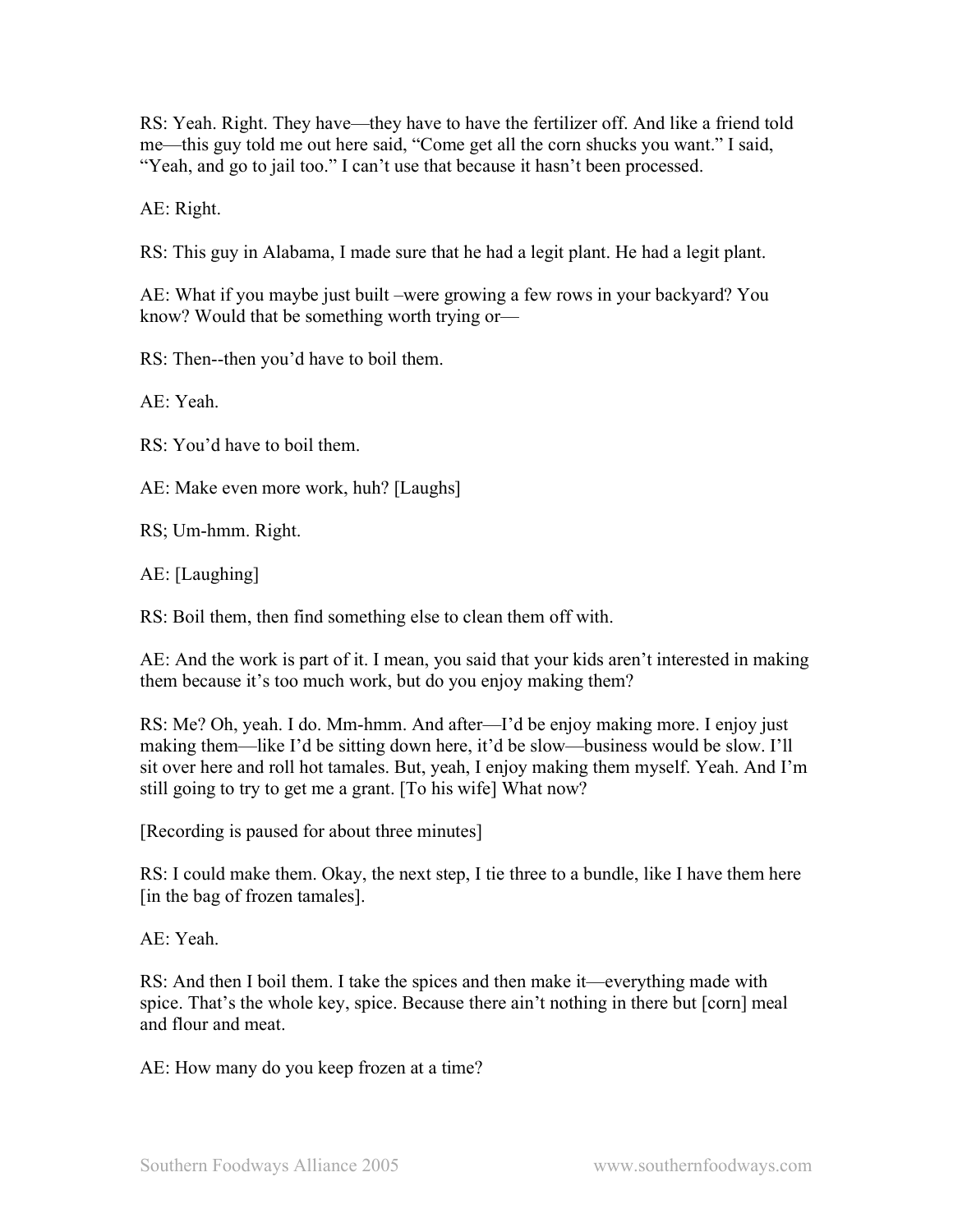RS: Yeah. Right. They have—they have to have the fertilizer off. And like a friend told me—this guy told me out here said, "Come get all the corn shucks you want." I said, "Yeah, and go to jail too." I can't use that because it hasn't been processed.

AE: Right.

RS: This guy in Alabama, I made sure that he had a legit plant. He had a legit plant.

AE: What if you maybe just built –were growing a few rows in your backyard? You know? Would that be something worth trying or—

RS: Then--then you'd have to boil them.

AE: Yeah.

RS: You'd have to boil them.

AE: Make even more work, huh? [Laughs]

RS; Um-hmm. Right.

AE: [Laughing]

RS: Boil them, then find something else to clean them off with.

AE: And the work is part of it. I mean, you said that your kids aren't interested in making them because it's too much work, but do you enjoy making them?

RS: Me? Oh, yeah. I do. Mm-hmm. And after—I'd be enjoy making more. I enjoy just making them—like I'd be sitting down here, it'd be slow—business would be slow. I'll sit over here and roll hot tamales. But, yeah, I enjoy making them myself. Yeah. And I'm still going to try to get me a grant. [To his wife] What now?

[Recording is paused for about three minutes]

RS: I could make them. Okay, the next step, I tie three to a bundle, like I have them here [in the bag of frozen tamales].

AE: Yeah.

RS: And then I boil them. I take the spices and then make it—everything made with spice. That's the whole key, spice. Because there ain't nothing in there but [corn] meal and flour and meat.

AE: How many do you keep frozen at a time?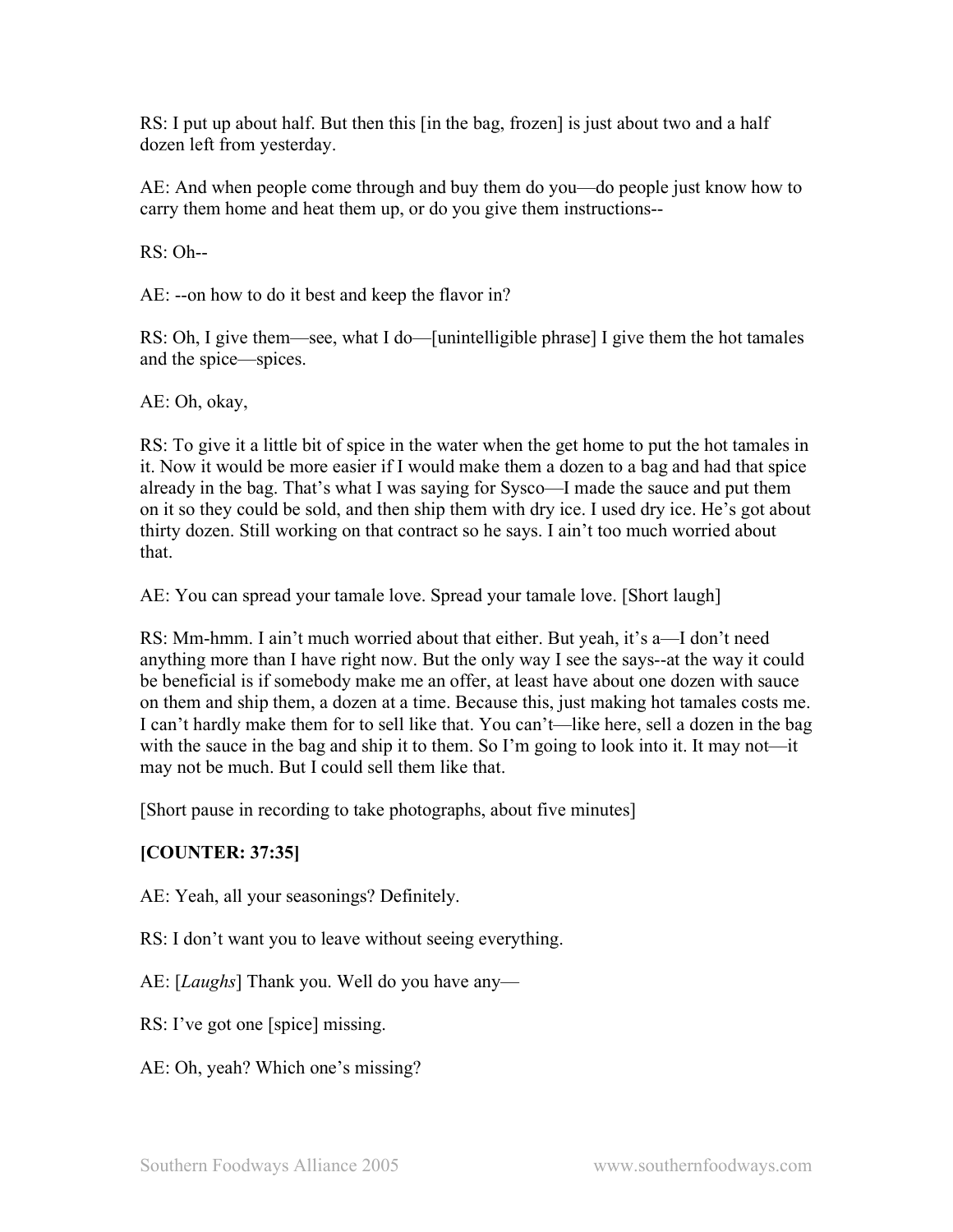RS: I put up about half. But then this [in the bag, frozen] is just about two and a half dozen left from yesterday.

AE: And when people come through and buy them do you—do people just know how to carry them home and heat them up, or do you give them instructions--

RS: Oh--

AE: --on how to do it best and keep the flavor in?

RS: Oh, I give them—see, what I do—[unintelligible phrase] I give them the hot tamales and the spice—spices.

AE: Oh, okay,

RS: To give it a little bit of spice in the water when the get home to put the hot tamales in it. Now it would be more easier if I would make them a dozen to a bag and had that spice already in the bag. That's what I was saying for Sysco—I made the sauce and put them on it so they could be sold, and then ship them with dry ice. I used dry ice. He's got about thirty dozen. Still working on that contract so he says. I ain't too much worried about that.

AE: You can spread your tamale love. Spread your tamale love. [Short laugh]

RS: Mm-hmm. I ain't much worried about that either. But yeah, it's a—I don't need anything more than I have right now. But the only way I see the says--at the way it could be beneficial is if somebody make me an offer, at least have about one dozen with sauce on them and ship them, a dozen at a time. Because this, just making hot tamales costs me. I can't hardly make them for to sell like that. You can't—like here, sell a dozen in the bag with the sauce in the bag and ship it to them. So I'm going to look into it. It may not—it may not be much. But I could sell them like that.

[Short pause in recording to take photographs, about five minutes]

## **[COUNTER: 37:35]**

AE: Yeah, all your seasonings? Definitely.

RS: I don't want you to leave without seeing everything.

AE: [*Laughs*] Thank you. Well do you have any—

RS: I've got one [spice] missing.

AE: Oh, yeah? Which one's missing?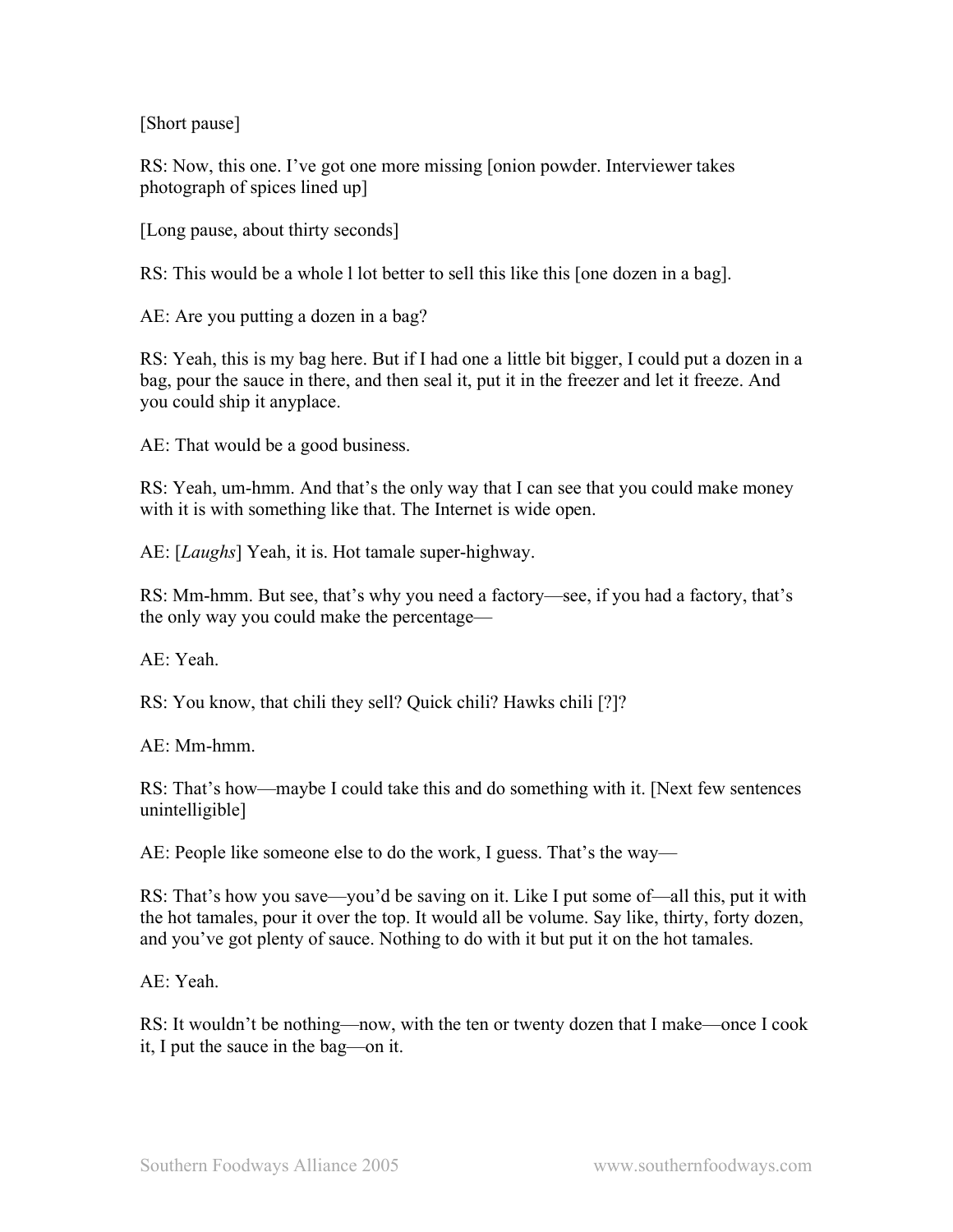[Short pause]

RS: Now, this one. I've got one more missing [onion powder. Interviewer takes photograph of spices lined up]

[Long pause, about thirty seconds]

RS: This would be a whole l lot better to sell this like this [one dozen in a bag].

AE: Are you putting a dozen in a bag?

RS: Yeah, this is my bag here. But if I had one a little bit bigger, I could put a dozen in a bag, pour the sauce in there, and then seal it, put it in the freezer and let it freeze. And you could ship it anyplace.

AE: That would be a good business.

RS: Yeah, um-hmm. And that's the only way that I can see that you could make money with it is with something like that. The Internet is wide open.

AE: [*Laughs*] Yeah, it is. Hot tamale super-highway.

RS: Mm-hmm. But see, that's why you need a factory—see, if you had a factory, that's the only way you could make the percentage—

AE: Yeah.

RS: You know, that chili they sell? Quick chili? Hawks chili [?]?

 $AE: Mm-hmm$ 

RS: That's how—maybe I could take this and do something with it. [Next few sentences unintelligible]

AE: People like someone else to do the work, I guess. That's the way—

RS: That's how you save—you'd be saving on it. Like I put some of—all this, put it with the hot tamales, pour it over the top. It would all be volume. Say like, thirty, forty dozen, and you've got plenty of sauce. Nothing to do with it but put it on the hot tamales.

AE: Yeah.

RS: It wouldn't be nothing—now, with the ten or twenty dozen that I make—once I cook it, I put the sauce in the bag—on it.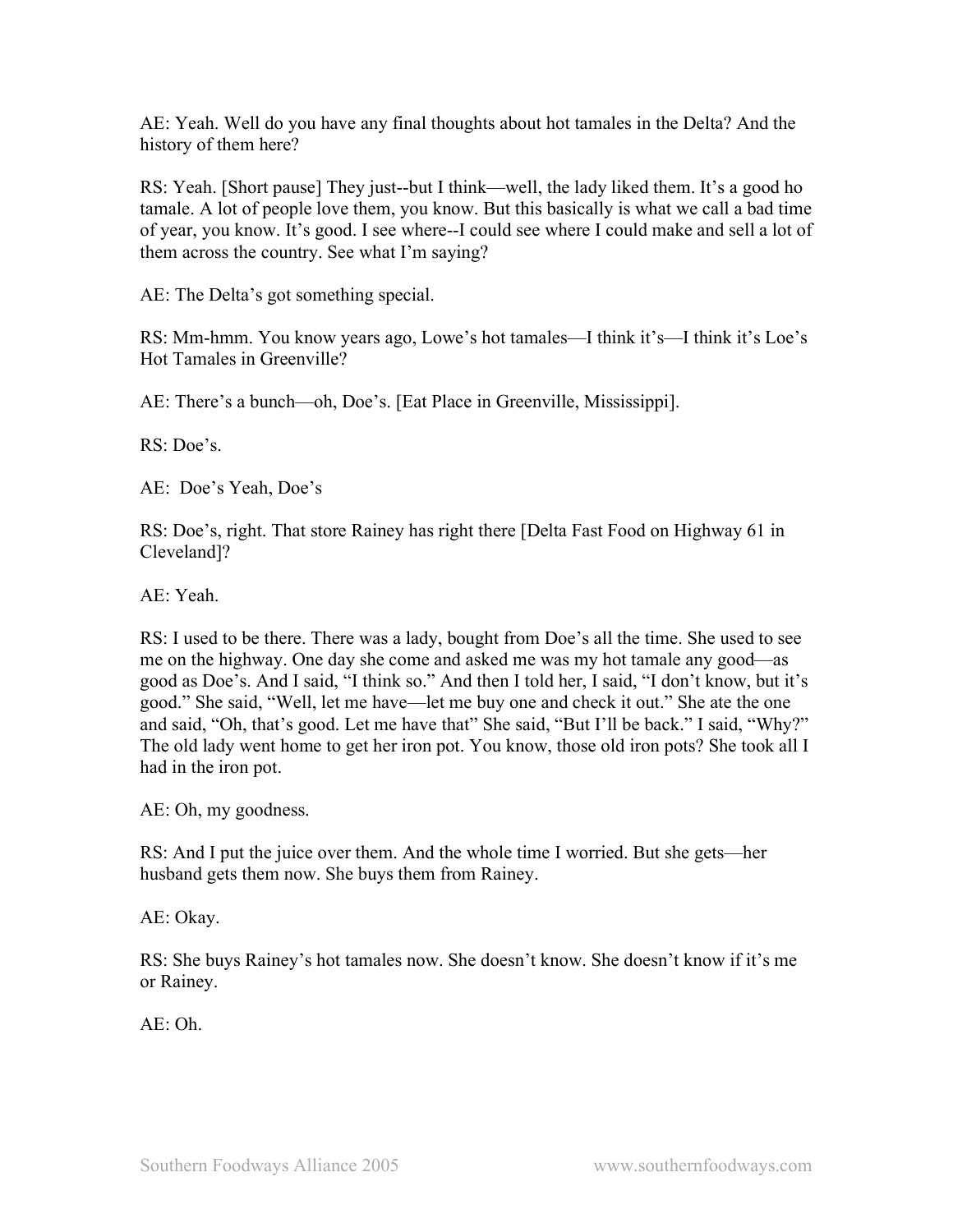AE: Yeah. Well do you have any final thoughts about hot tamales in the Delta? And the history of them here?

RS: Yeah. [Short pause] They just--but I think—well, the lady liked them. It's a good ho tamale. A lot of people love them, you know. But this basically is what we call a bad time of year, you know. It's good. I see where--I could see where I could make and sell a lot of them across the country. See what I'm saying?

AE: The Delta's got something special.

RS: Mm-hmm. You know years ago, Lowe's hot tamales—I think it's—I think it's Loe's Hot Tamales in Greenville?

AE: There's a bunch—oh, Doe's. [Eat Place in Greenville, Mississippi].

RS: Doe's.

AE: Doe's Yeah, Doe's

RS: Doe's, right. That store Rainey has right there [Delta Fast Food on Highway 61 in Cleveland]?

AE: Yeah.

RS: I used to be there. There was a lady, bought from Doe's all the time. She used to see me on the highway. One day she come and asked me was my hot tamale any good—as good as Doe's. And I said, "I think so." And then I told her, I said, "I don't know, but it's good." She said, "Well, let me have—let me buy one and check it out." She ate the one and said, "Oh, that's good. Let me have that" She said, "But I'll be back." I said, "Why?" The old lady went home to get her iron pot. You know, those old iron pots? She took all I had in the iron pot.

AE: Oh, my goodness.

RS: And I put the juice over them. And the whole time I worried. But she gets—her husband gets them now. She buys them from Rainey.

AE: Okay.

RS: She buys Rainey's hot tamales now. She doesn't know. She doesn't know if it's me or Rainey.

 $AE: Oh$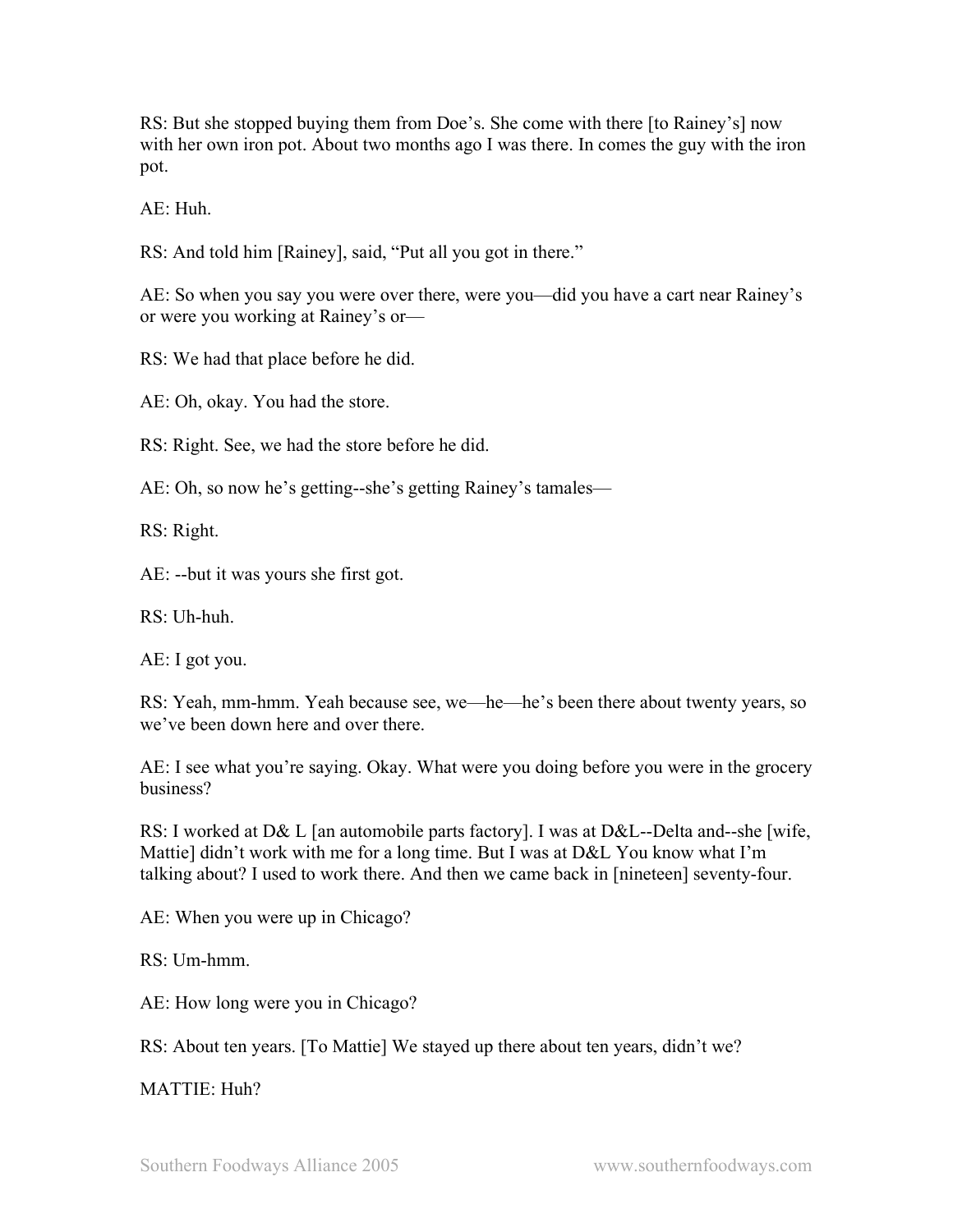RS: But she stopped buying them from Doe's. She come with there [to Rainey's] now with her own iron pot. About two months ago I was there. In comes the guy with the iron pot.

 $AE: Huh$ 

RS: And told him [Rainey], said, "Put all you got in there."

AE: So when you say you were over there, were you—did you have a cart near Rainey's or were you working at Rainey's or—

RS: We had that place before he did.

AE: Oh, okay. You had the store.

RS: Right. See, we had the store before he did.

AE: Oh, so now he's getting--she's getting Rainey's tamales—

RS: Right.

AE: --but it was yours she first got.

 $RS:$  Uh-huh.

AE: I got you.

RS: Yeah, mm-hmm. Yeah because see, we—he—he's been there about twenty years, so we've been down here and over there.

AE: I see what you're saying. Okay. What were you doing before you were in the grocery business?

RS: I worked at D& L [an automobile parts factory]. I was at D&L--Delta and--she [wife, Mattie] didn't work with me for a long time. But I was at D&L You know what I'm talking about? I used to work there. And then we came back in [nineteen] seventy-four.

AE: When you were up in Chicago?

RS: Um-hmm.

AE: How long were you in Chicago?

RS: About ten years. [To Mattie] We stayed up there about ten years, didn't we?

MATTIE: Huh?